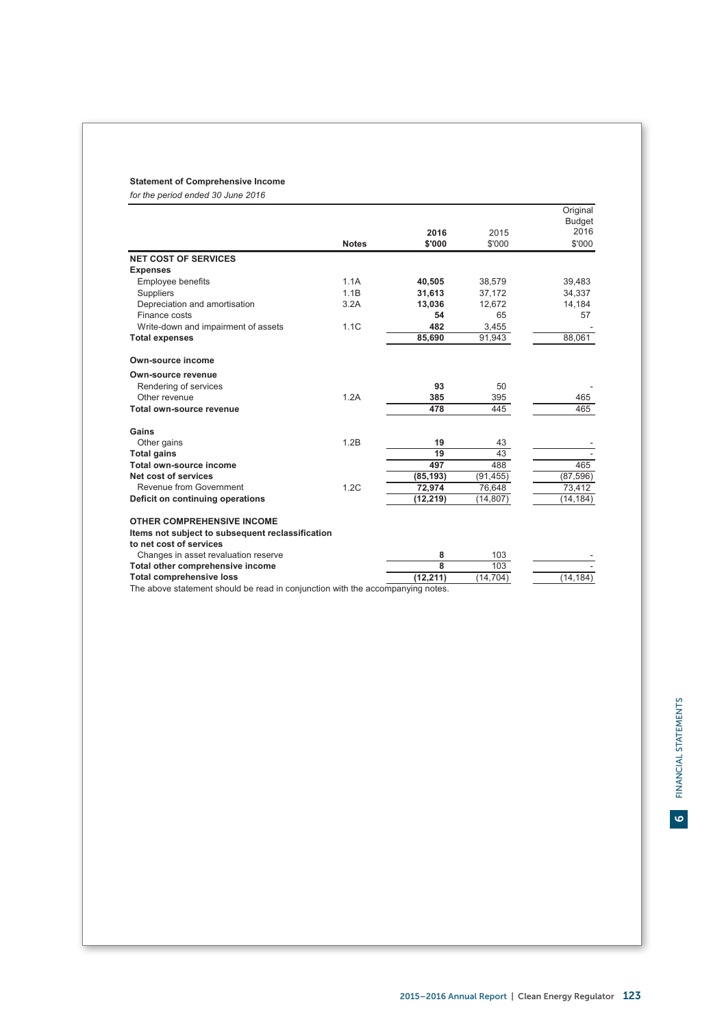# **Statement of Comprehensive Income**

*for the period ended 30 June 2016*

|                                                  |              |           |           | Original      |
|--------------------------------------------------|--------------|-----------|-----------|---------------|
|                                                  |              |           |           | <b>Budget</b> |
|                                                  |              | 2016      | 2015      | 2016          |
|                                                  | <b>Notes</b> | \$'000    | \$'000    | \$'000        |
| <b>NET COST OF SERVICES</b>                      |              |           |           |               |
| <b>Expenses</b>                                  |              |           |           |               |
| <b>Employee benefits</b>                         | 1.1A         | 40.505    | 38.579    | 39,483        |
| Suppliers                                        | 1.1B         | 31,613    | 37,172    | 34,337        |
| Depreciation and amortisation                    | 3.2A         | 13,036    | 12,672    | 14,184        |
| Finance costs                                    |              | 54        | 65        | 57            |
| Write-down and impairment of assets              | 1.1C         | 482       | 3,455     |               |
| <b>Total expenses</b>                            |              | 85,690    | 91,943    | 88,061        |
| Own-source income                                |              |           |           |               |
| Own-source revenue                               |              |           |           |               |
| Rendering of services                            |              | 93        | 50        |               |
| Other revenue                                    | 1.2A         | 385       | 395       | 465           |
| Total own-source revenue                         |              | 478       | 445       | 465           |
| Gains                                            |              |           |           |               |
| Other gains                                      | 1.2B         | 19        | 43        |               |
| <b>Total gains</b>                               |              | 19        | 43        |               |
| Total own-source income                          |              | 497       | 488       | 465           |
| Net cost of services                             |              | (85, 193) | (91, 455) | (87, 596)     |
| Revenue from Government                          | 1.2C         | 72,974    | 76,648    | 73,412        |
| Deficit on continuing operations                 |              | (12, 219) | (14, 807) | (14,184)      |
| <b>OTHER COMPREHENSIVE INCOME</b>                |              |           |           |               |
| Items not subject to subsequent reclassification |              |           |           |               |
| to net cost of services                          |              |           |           |               |
| Changes in asset revaluation reserve             |              | 8         | 103       |               |
| Total other comprehensive income                 |              | 8         | 103       |               |
| <b>Total comprehensive loss</b>                  |              | (12, 211) | (14, 704) | (14, 184)     |

The above statement should be read in conjunction with the accompanying notes.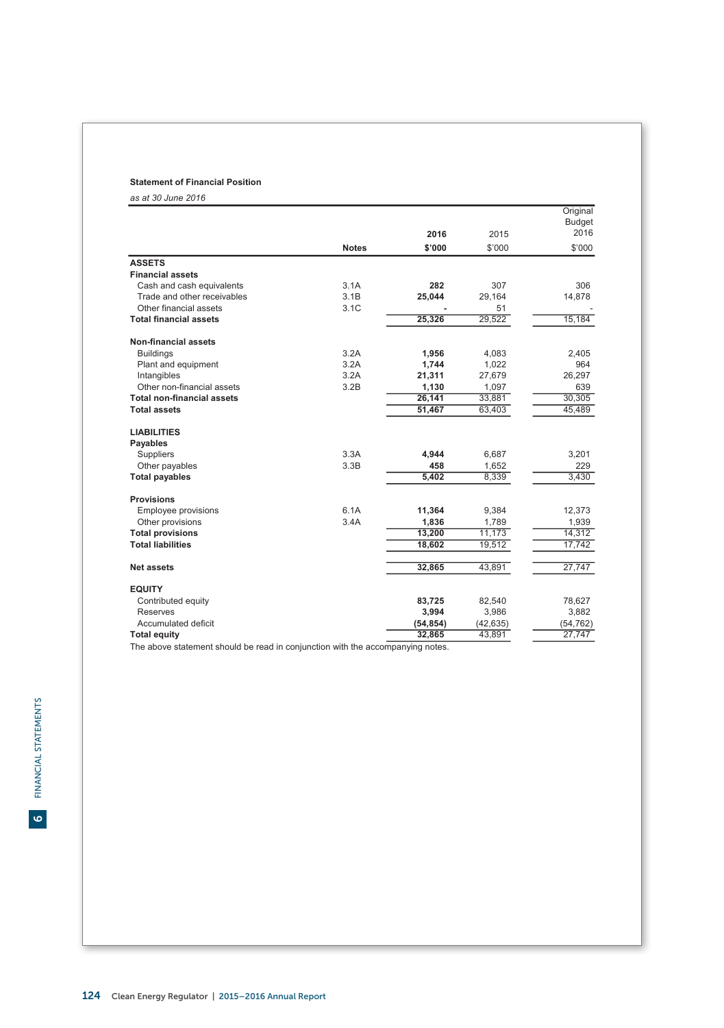# **Statement of Financial Position**

*as at 30 June 2016*

|                                   |              |           |           | Original              |
|-----------------------------------|--------------|-----------|-----------|-----------------------|
|                                   |              | 2016      | 2015      | <b>Budget</b><br>2016 |
|                                   | <b>Notes</b> | \$'000    | \$'000    | \$'000                |
| <b>ASSETS</b>                     |              |           |           |                       |
| <b>Financial assets</b>           |              |           |           |                       |
| Cash and cash equivalents         | 3.1A         | 282       | 307       | 306                   |
| Trade and other receivables       | 3.1B         | 25,044    | 29,164    | 14,878                |
| Other financial assets            | 3.1C         |           | 51        |                       |
| <b>Total financial assets</b>     |              | 25,326    | 29,522    | 15,184                |
| Non-financial assets              |              |           |           |                       |
| <b>Buildings</b>                  | 3.2A         | 1,956     | 4,083     | 2,405                 |
| Plant and equipment               | 3.2A         | 1,744     | 1,022     | 964                   |
| Intangibles                       | 3.2A         | 21,311    | 27,679    | 26,297                |
| Other non-financial assets        | 3.2B         | 1,130     | 1,097     | 639                   |
| <b>Total non-financial assets</b> |              | 26,141    | 33,881    | 30,305                |
| <b>Total assets</b>               |              | 51,467    | 63,403    | 45,489                |
| <b>LIABILITIES</b>                |              |           |           |                       |
| <b>Payables</b>                   |              |           |           |                       |
| Suppliers                         | 3.3A         | 4,944     | 6,687     | 3,201                 |
| Other payables                    | 3.3B         | 458       | 1,652     | 229                   |
| <b>Total payables</b>             |              | 5,402     | 8,339     | 3,430                 |
| <b>Provisions</b>                 |              |           |           |                       |
| Employee provisions               | 6.1A         | 11,364    | 9,384     | 12,373                |
| Other provisions                  | 3.4A         | 1,836     | 1,789     | 1,939                 |
| <b>Total provisions</b>           |              | 13,200    | 11,173    | 14,312                |
| <b>Total liabilities</b>          |              | 18,602    | 19,512    | 17,742                |
| <b>Net assets</b>                 |              | 32,865    | 43,891    | 27,747                |
| <b>EQUITY</b>                     |              |           |           |                       |
| Contributed equity                |              | 83,725    | 82,540    | 78,627                |
| <b>Reserves</b>                   |              | 3,994     | 3,986     | 3,882                 |
| Accumulated deficit               |              | (54, 854) | (42, 635) | (54, 762)             |
| <b>Total equity</b>               |              | 32,865    | 43,891    | 27,747                |

The above statement should be read in conjunction with the accompanying notes.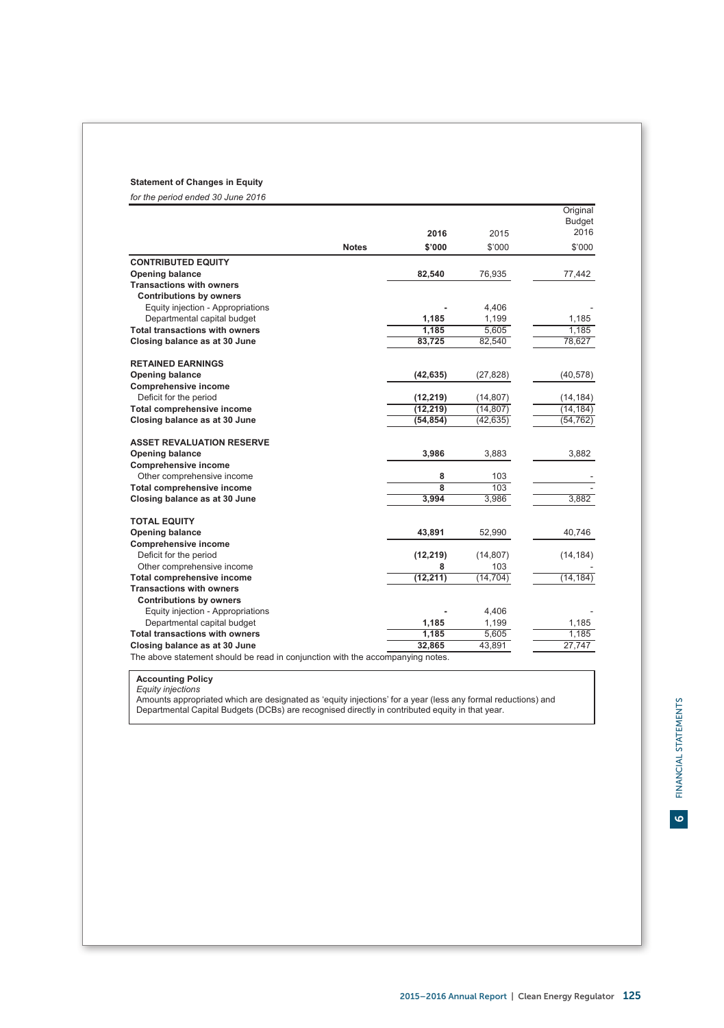# **Statement of Changes in Equity**

*for the period ended 30 June 2016*

|                                       |              |                |           | Original              |
|---------------------------------------|--------------|----------------|-----------|-----------------------|
|                                       |              | 2016           | 2015      | <b>Budget</b><br>2016 |
|                                       | <b>Notes</b> | \$'000         | \$'000    | \$'000                |
| <b>CONTRIBUTED EQUITY</b>             |              |                |           |                       |
| Opening balance                       |              | 82,540         | 76,935    | 77,442                |
| <b>Transactions with owners</b>       |              |                |           |                       |
| <b>Contributions by owners</b>        |              |                |           |                       |
| Equity injection - Appropriations     |              |                | 4,406     |                       |
| Departmental capital budget           |              | 1,185          | 1,199     | 1,185                 |
| <b>Total transactions with owners</b> |              | 1.185          | 5,605     | 1.185                 |
| Closing balance as at 30 June         |              | 83,725         | 82,540    | 78,627                |
|                                       |              |                |           |                       |
| <b>RETAINED EARNINGS</b>              |              |                |           |                       |
| <b>Opening balance</b>                |              | (42, 635)      | (27, 828) | (40, 578)             |
| <b>Comprehensive income</b>           |              |                |           |                       |
| Deficit for the period                |              | (12, 219)      | (14, 807) | (14, 184)             |
| Total comprehensive income            |              | (12, 219)      | (14, 807) | (14, 184)             |
| Closing balance as at 30 June         |              | (54, 854)      | (42, 635) | (54, 762)             |
| <b>ASSET REVALUATION RESERVE</b>      |              |                |           |                       |
| <b>Opening balance</b>                |              | 3,986          | 3,883     | 3,882                 |
| <b>Comprehensive income</b>           |              |                |           |                       |
| Other comprehensive income            |              | 8              | 103       |                       |
| Total comprehensive income            |              | $\overline{8}$ | 103       |                       |
| Closing balance as at 30 June         |              | 3,994          | 3,986     | 3,882                 |
| <b>TOTAL EQUITY</b>                   |              |                |           |                       |
| Opening balance                       |              | 43,891         | 52,990    | 40,746                |
| <b>Comprehensive income</b>           |              |                |           |                       |
| Deficit for the period                |              | (12, 219)      | (14, 807) | (14, 184)             |
| Other comprehensive income            |              | 8              | 103       |                       |
| Total comprehensive income            |              | (12, 211)      | (14, 704) | (14, 184)             |
| <b>Transactions with owners</b>       |              |                |           |                       |
| <b>Contributions by owners</b>        |              |                |           |                       |
| Equity injection - Appropriations     |              |                | 4,406     |                       |
| Departmental capital budget           |              | 1,185          | 1,199     | 1,185                 |
| <b>Total transactions with owners</b> |              | 1,185          | 5,605     | 1,185                 |
| Closing balance as at 30 June<br>.    |              | 32,865         | 43,891    | 27,747                |

The above statement should be read in conjunction with the accompanying notes.

**Accounting Policy**<br>*Equity injections*<br>Amounts appropriated which are designated as 'equity injections' for a year (less any formal reductions) and<br>Departmental Capital Budgets (DCBs) are recognised directly in contribute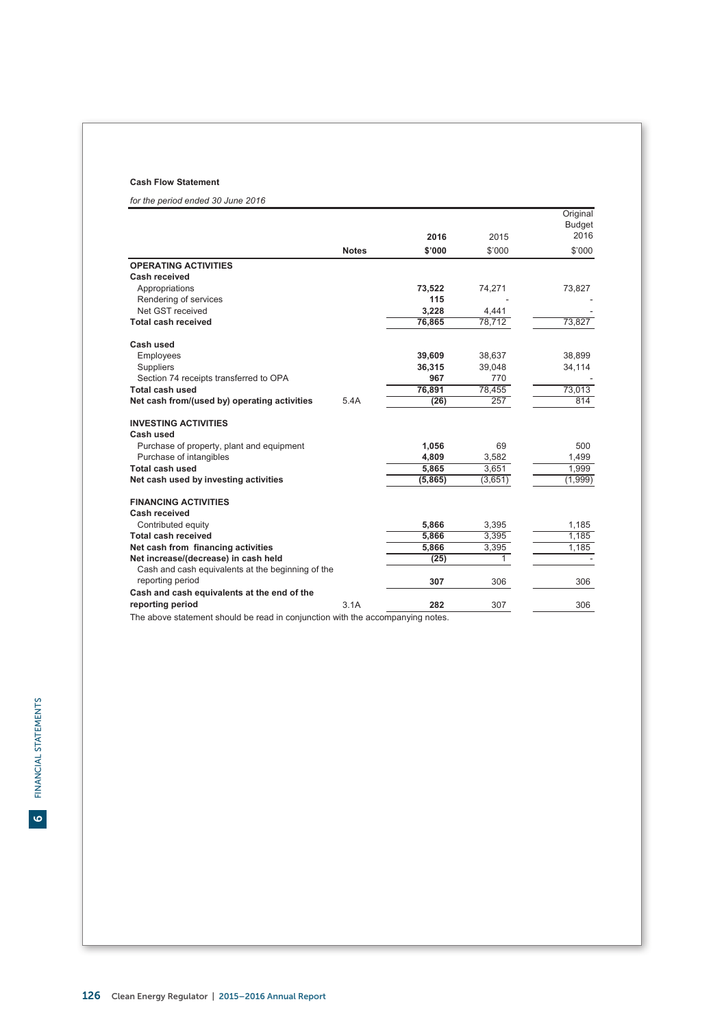# **Cash Flow Statement**

*for the period ended 30 June 2016*

|                                                   |              |         |         | Original      |
|---------------------------------------------------|--------------|---------|---------|---------------|
|                                                   |              |         |         | <b>Budget</b> |
|                                                   |              | 2016    | 2015    | 2016          |
|                                                   | <b>Notes</b> | \$'000  | \$'000  | \$'000        |
| <b>OPERATING ACTIVITIES</b>                       |              |         |         |               |
| Cash received                                     |              |         |         |               |
| Appropriations                                    |              | 73,522  | 74,271  | 73,827        |
| Rendering of services                             |              | 115     |         |               |
| Net GST received                                  |              | 3.228   | 4,441   |               |
| Total cash received                               |              | 76,865  | 78,712  | 73,827        |
| Cash used                                         |              |         |         |               |
| Employees                                         |              | 39.609  | 38.637  | 38.899        |
| Suppliers                                         |              | 36,315  | 39,048  | 34,114        |
| Section 74 receipts transferred to OPA            |              | 967     | 770     |               |
| Total cash used                                   |              | 76,891  | 78,455  | 73,013        |
| Net cash from/(used by) operating activities      | 5.4A         | (26)    | 257     | 814           |
| <b>INVESTING ACTIVITIES</b>                       |              |         |         |               |
| Cash used                                         |              |         |         |               |
| Purchase of property, plant and equipment         |              | 1.056   | 69      | 500           |
| Purchase of intangibles                           |              | 4.809   | 3,582   | 1,499         |
| Total cash used                                   |              | 5,865   | 3,651   | 1,999         |
| Net cash used by investing activities             |              | (5,865) | (3,651) | (1,999)       |
| <b>FINANCING ACTIVITIES</b>                       |              |         |         |               |
| Cash received                                     |              |         |         |               |
| Contributed equity                                |              | 5,866   | 3,395   | 1,185         |
| <b>Total cash received</b>                        |              | 5,866   | 3,395   | 1,185         |
| Net cash from financing activities                |              | 5.866   | 3,395   | 1,185         |
| Net increase/(decrease) in cash held              |              | (25)    | 1.      |               |
| Cash and cash equivalents at the beginning of the |              |         |         |               |
| reporting period                                  |              | 307     | 306     | 306           |
| Cash and cash equivalents at the end of the       |              |         |         |               |
| reporting period                                  | 3.1A         | 282     | 307     | 306           |

The above statement should be read in conjunction with the accompanying notes.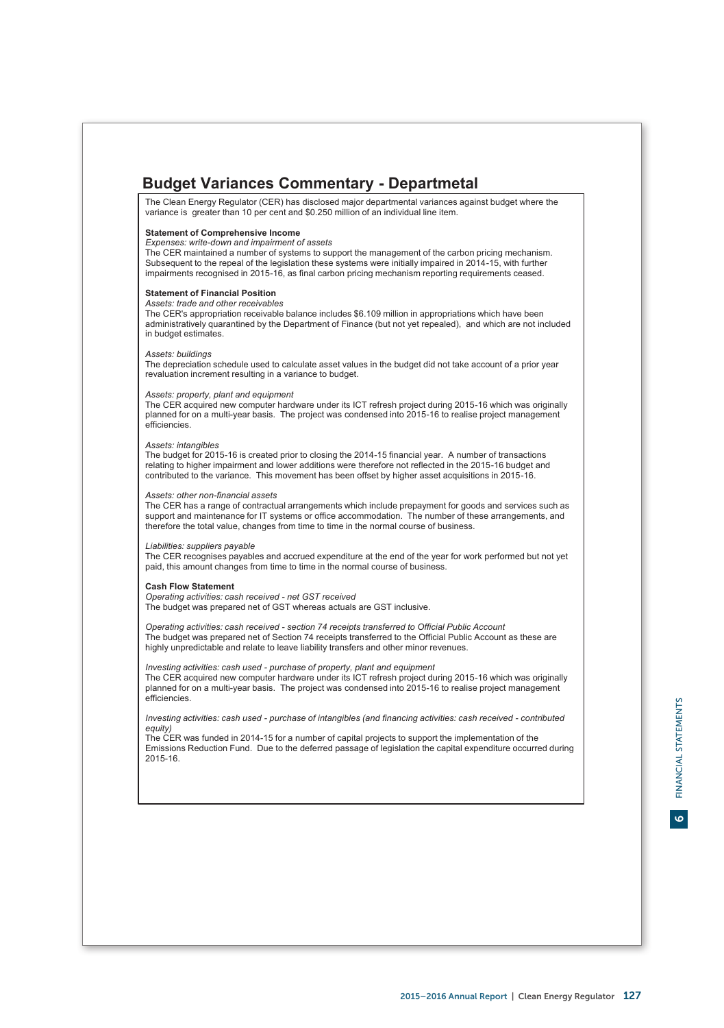# **Budget Variances Commentary - Departmetal**

The Clean Energy Regulator (CER) has disclosed major departmental variances against budget where the variance is greater than 10 per cent and \$0.250 million of an individual line item.

# **Statement of Comprehensive Income**

*Expenses: write-down and impairment of assets*

The CER maintained a number of systems to support the management of the carbon pricing mechanism. Subsequent to the repeal of the legislation these systems were initially impaired in 2014-15, with further impairments recognised in 2015-16, as final carbon pricing mechanism reporting requirements ceased.

# **Statement of Financial Position**

*Assets: trade and other receivables*

The CER's appropriation receivable balance includes \$6.109 million in appropriations which have been administratively quarantined by the Department of Finance (but not yet repealed), and which are not included in budget estimates.

# *Assets: buildings*

The depreciation schedule used to calculate asset values in the budget did not take account of a prior year revaluation increment resulting in a variance to budget.

# *Assets: property, plant and equipment*

The CER acquired new computer hardware under its ICT refresh project during 2015-16 which was originally planned for on a multi-year basis. The project was condensed into 2015-16 to realise project management **efficiencies** 

# *Assets: intangibles*

The budget for 2015-16 is created prior to closing the 2014-15 financial year. A number of transactions relating to higher impairment and lower additions were therefore not reflected in the 2015-16 budget and contributed to the variance. This movement has been offset by higher asset acquisitions in 2015-16.

### *Assets: other non-financial assets*

The CER has a range of contractual arrangements which include prepayment for goods and services such as support and maintenance for IT systems or office accommodation. The number of these arrangements, and therefore the total value, changes from time to time in the normal course of business.

### *Liabilities: suppliers payable*

The CER recognises payables and accrued expenditure at the end of the year for work performed but not yet paid, this amount changes from time to time in the normal course of business.

# **Cash Flow Statement**

*Operating activities: cash received - net GST received* The budget was prepared net of GST whereas actuals are GST inclusive.

*Operating activities: cash received - section 74 receipts transferred to Official Public Account* The budget was prepared net of Section 74 receipts transferred to the Official Public Account as these are highly unpredictable and relate to leave liability transfers and other minor revenues.

*Investing activities: cash used - purchase of property, plant and equipment* The CER acquired new computer hardware under its ICT refresh project during 2015-16 which was originally planned for on a multi-year basis. The project was condensed into 2015-16 to realise project management efficiencies.

*Investing activities: cash used - purchase of intangibles (and financing activities: cash received - contributed equity)*

The CER was funded in 2014-15 for a number of capital projects to support the implementation of the Emissions Reduction Fund. Due to the deferred passage of legislation the capital expenditure occurred during 2015-16.

 $\bullet$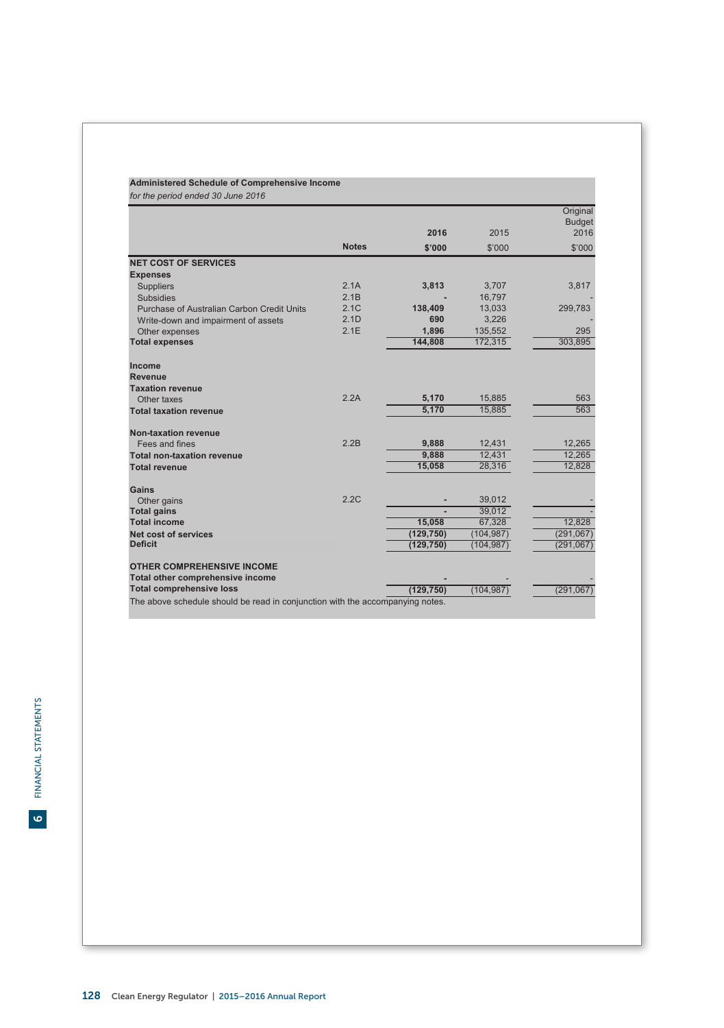# **Administered Schedule of Comprehensive Income**

 **2016** 2015 **Original** Budget 2016 **Notes \$'000** \$'000 \$'000 **NET COST OF SERVICES** Suppliers 2.1A **3,813** 3,707 3,817 Subsidies 2.1B **-** 16,797 - Purchase of Australian Carbon Credit Units 2.1C **138,409** 13,033 299,783 Write-down and impairment of assets 2.1D **690** 3,226 - 3.26<br>Other expenses 2.1E **1,896** - 135,552 295 Other expenses 2.1E 1**,896** 2.35,552 295<br>
2.1E 1,896 135,552 295<br>
2.1E 144,808 172,315 303,895 **Total expenses Income Revenue Taxation revenue** Other taxes **6.170 <b>5,170** 563 563 **Total taxation revenue 5,170** 5,885 563 **Non-taxation revenue** Fees and fines 2.2B **9,888** 12,431 12,265 **Total non-taxation revenue 9,888** 12,431 12,265 **Total revenue** Gains<br>Other gains Other gains 2.2C **-** 39,012 - **Total gains** and the state of the state of the state of the state of the state of the state of the state of the state of the state of the state of the state of the state of the state of the state of the state of the state **Total income 15,058** 67,328 12,828 **Net cost of services (129,750)** (104,987) (291,067)<br> **Deficit** (129,750) (104,987) (291,067) (291,067) **Deficit (129,750)** (104,987) (291,067) **OTHER COMPREHENSIVE INCOME Total other comprehensive income**<br> **Total comprehensive loss**(129,750)
(104,987)
(291,067)
(291,067) **Total comprehensive loss** The above schedule should be read in conjunction with the accompanying notes. *for the period ended 30 June 2016* **Expenses**

FINANCIAL STATEMENTS FINANCIAL STATEMENTS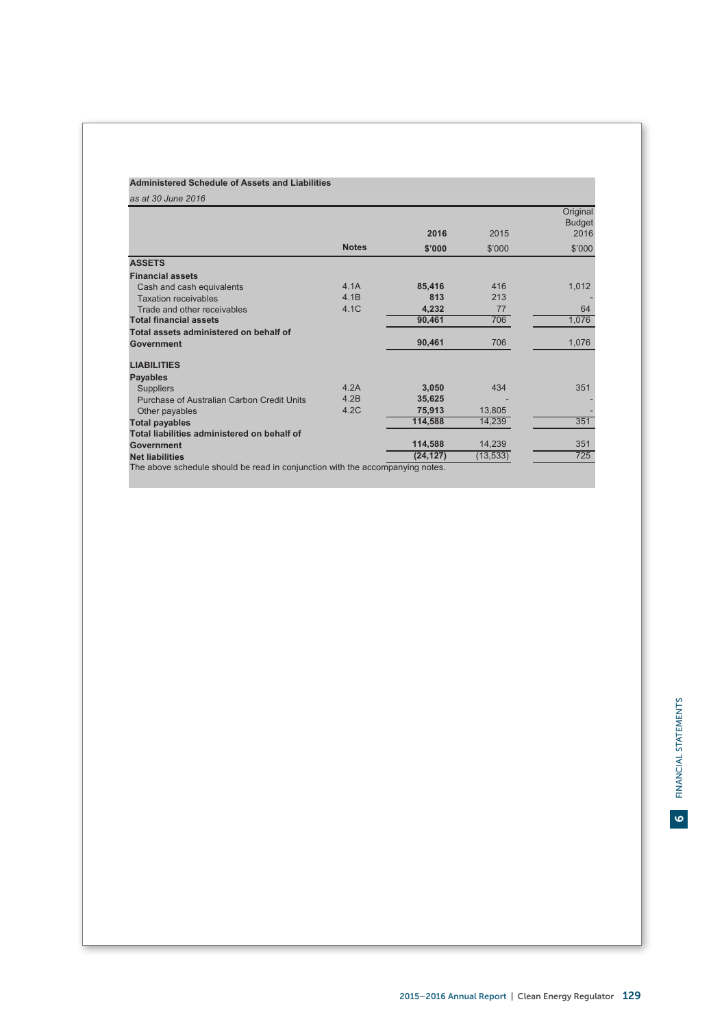# **Administered Schedule of Assets and Liabilities**

| as at 30 June 2016                                                            |              |           |           |                           |
|-------------------------------------------------------------------------------|--------------|-----------|-----------|---------------------------|
|                                                                               |              |           |           | Original<br><b>Budget</b> |
|                                                                               |              | 2016      | 2015      | 2016                      |
|                                                                               | <b>Notes</b> | \$'000    | \$'000    | \$'000                    |
| <b>ASSETS</b>                                                                 |              |           |           |                           |
| <b>Financial assets</b>                                                       |              |           |           |                           |
| Cash and cash equivalents                                                     | 4.1A         | 85,416    | 416       | 1,012                     |
| <b>Taxation receivables</b>                                                   | 4.1B         | 813       | 213       |                           |
| Trade and other receivables                                                   | 4.1C         | 4,232     | 77        | 64                        |
| <b>Total financial assets</b>                                                 |              | 90,461    | 706       | 1,076                     |
| Total assets administered on behalf of                                        |              |           |           |                           |
| Government                                                                    |              | 90,461    | 706       | 1,076                     |
| <b>LIABILITIES</b>                                                            |              |           |           |                           |
| <b>Payables</b>                                                               |              |           |           |                           |
| <b>Suppliers</b>                                                              | 4.2A         | 3,050     | 434       | 351                       |
| Purchase of Australian Carbon Credit Units                                    | 4.2B         | 35,625    |           |                           |
| Other payables                                                                | 4.2C         | 75.913    | 13,805    |                           |
| <b>Total payables</b>                                                         |              | 114,588   | 14,239    | 351                       |
| Total liabilities administered on behalf of                                   |              |           |           |                           |
| Government                                                                    |              | 114,588   | 14,239    | 351                       |
| <b>Net liabilities</b>                                                        |              | (24, 127) | (13, 533) | 725                       |
| The above schedule should be read in conjunction with the accompanying notes. |              |           |           |                           |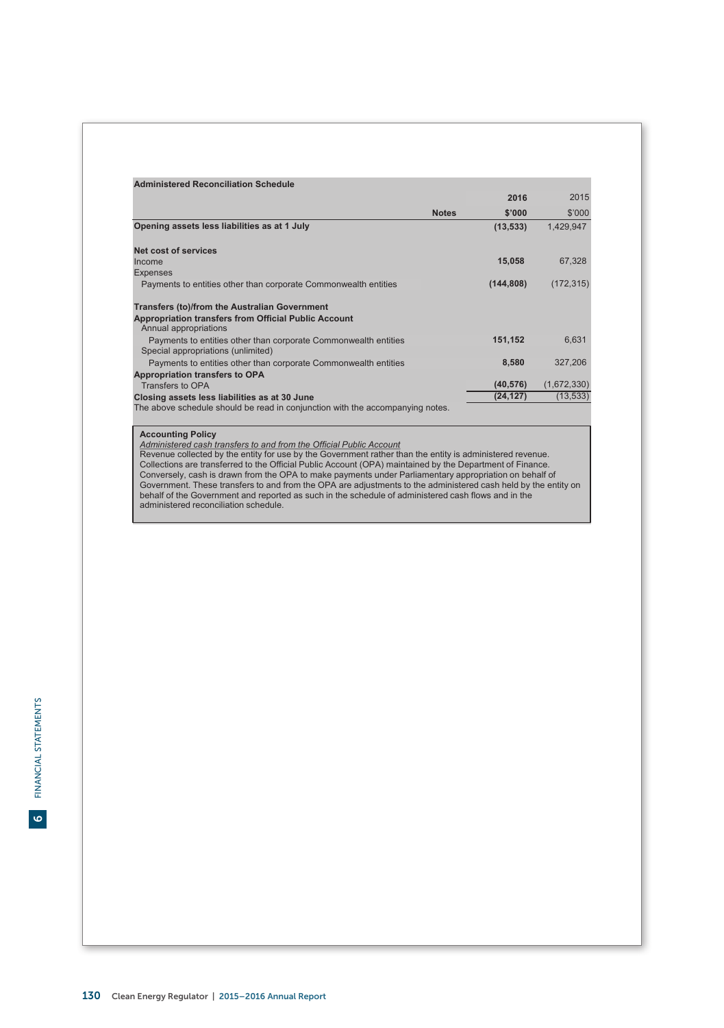| <b>Administered Reconciliation Schedule</b>                                                           |              |            |             |
|-------------------------------------------------------------------------------------------------------|--------------|------------|-------------|
|                                                                                                       |              | 2016       | 2015        |
|                                                                                                       | <b>Notes</b> | \$'000     | \$'000      |
| Opening assets less liabilities as at 1 July                                                          |              | (13, 533)  | 1,429,947   |
|                                                                                                       |              |            |             |
| Net cost of services                                                                                  |              |            |             |
| Income                                                                                                |              | 15,058     | 67,328      |
| <b>Expenses</b>                                                                                       |              |            |             |
| Payments to entities other than corporate Commonwealth entities                                       |              | (144, 808) | (172, 315)  |
| <b>Transfers (to)/from the Australian Government</b>                                                  |              |            |             |
| Appropriation transfers from Official Public Account                                                  |              |            |             |
| Annual appropriations                                                                                 |              |            |             |
| Payments to entities other than corporate Commonwealth entities<br>Special appropriations (unlimited) |              | 151,152    | 6,631       |
| Payments to entities other than corporate Commonwealth entities                                       |              | 8,580      | 327,206     |
| Appropriation transfers to OPA                                                                        |              |            |             |
| Transfers to OPA                                                                                      |              | (40, 576)  | (1,672,330) |
| Closing assets less liabilities as at 30 June                                                         |              | (24, 127)  | (13, 533)   |
| The above schedule should be read in conjunction with the accompanying notes.                         |              |            |             |

# **Accounting Policy**

Administered cash transfers to and from the Official Public Account<br>Revenue collected by the entity for use by the Government rather than the entity is administered revenue.<br>Rollections are transferred to the Official Publ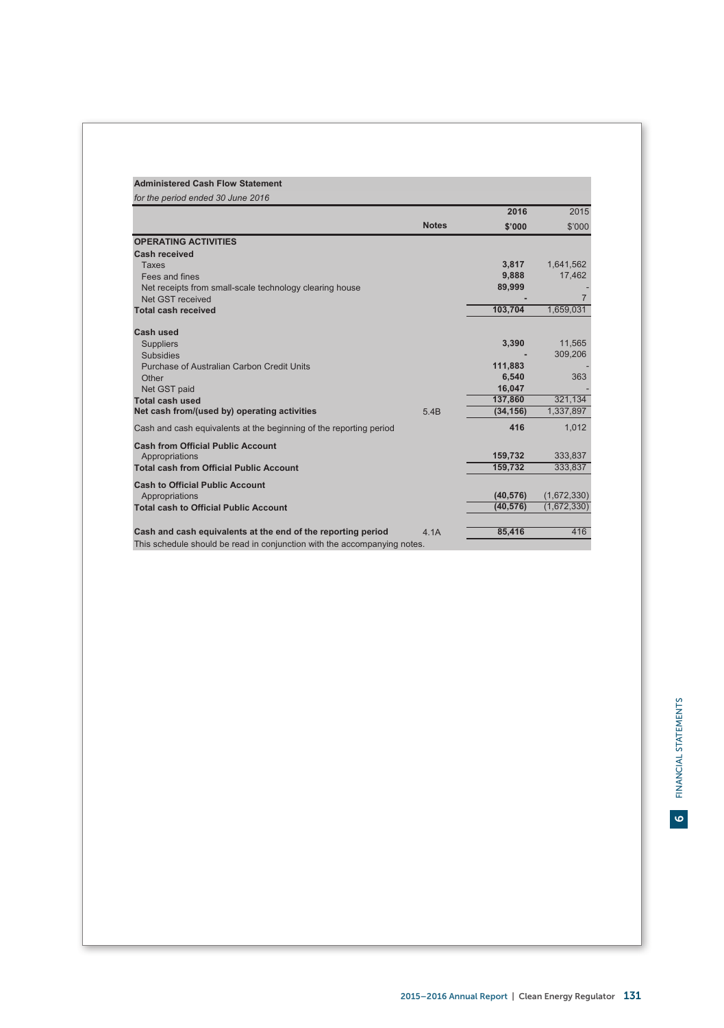| <b>Administered Cash Flow Statement</b>                                  |              |           |                |
|--------------------------------------------------------------------------|--------------|-----------|----------------|
| for the period ended 30 June 2016                                        |              |           |                |
|                                                                          |              | 2016      | 2015           |
|                                                                          | <b>Notes</b> | \$'000    | \$'000         |
| <b>OPERATING ACTIVITIES</b>                                              |              |           |                |
| Cash received                                                            |              |           |                |
| <b>Taxes</b>                                                             |              | 3,817     | 1,641,562      |
| Fees and fines                                                           |              | 9,888     | 17.462         |
| Net receipts from small-scale technology clearing house                  |              | 89,999    |                |
| Net GST received                                                         |              |           | $\overline{7}$ |
| <b>Total cash received</b>                                               |              | 103,704   | 1,659,031      |
| Cash used                                                                |              |           |                |
| <b>Suppliers</b>                                                         |              | 3,390     | 11,565         |
| <b>Subsidies</b>                                                         |              |           | 309.206        |
| Purchase of Australian Carbon Credit Units                               |              | 111,883   |                |
| Other                                                                    |              | 6.540     | 363            |
| Net GST paid                                                             |              | 16,047    |                |
| <b>Total cash used</b>                                                   |              | 137,860   | 321,134        |
| Net cash from/(used by) operating activities                             | 5.4B         | (34, 156) | 1,337,897      |
| Cash and cash equivalents at the beginning of the reporting period       |              | 416       | 1.012          |
| <b>Cash from Official Public Account</b>                                 |              |           |                |
| Appropriations                                                           |              | 159.732   | 333.837        |
| <b>Total cash from Official Public Account</b>                           |              | 159.732   | 333,837        |
| <b>Cash to Official Public Account</b>                                   |              |           |                |
| Appropriations                                                           |              | (40, 576) | (1,672,330)    |
| <b>Total cash to Official Public Account</b>                             |              | (40, 576) | (1,672,330)    |
|                                                                          |              |           |                |
| Cash and cash equivalents at the end of the reporting period             | 4.1A         | 85,416    | 416            |
| This schedule should be read in conjunction with the accompanying notes. |              |           |                |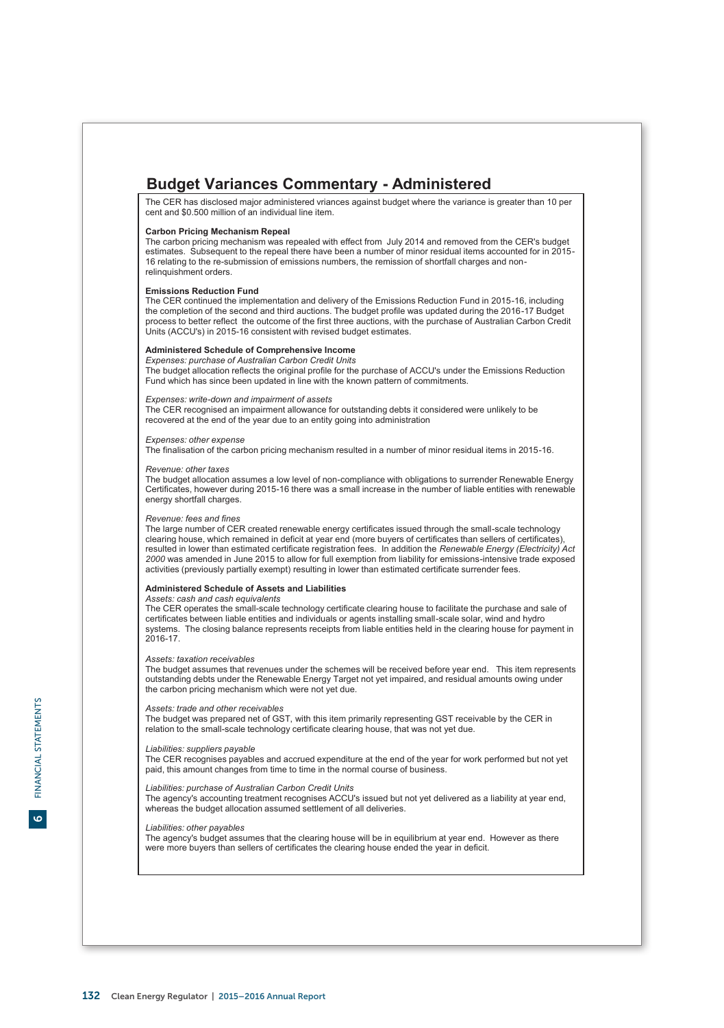# **Budget Variances Commentary - Administered**

The CER has disclosed major administered vriances against budget where the variance is greater than 10 per cent and \$0.500 million of an individual line item.

# **Carbon Pricing Mechanism Repeal**

The carbon pricing mechanism was repealed with effect from July 2014 and removed from the CER's budget estimates. Subsequent to the repeal there have been a number of minor residual items accounted for in 2015- 16 relating to the re-submission of emissions numbers, the remission of shortfall charges and nonrelinquishment orders.

## **Emissions Reduction Fund**

The CER continued the implementation and delivery of the Emissions Reduction Fund in 2015-16, including the completion of the second and third auctions. The budget profile was updated during the 2016-17 Budget process to better reflect the outcome of the first three auctions, with the purchase of Australian Carbon Credit Units (ACCU's) in 2015-16 consistent with revised budget estimates.

# **Administered Schedule of Comprehensive Income**

*Expenses: purchase of Australian Carbon Credit Units* The budget allocation reflects the original profile for the purchase of ACCU's under the Emissions Reduction Fund which has since been updated in line with the known pattern of commitments.

# *Expenses: write-down and impairment of assets*

The CER recognised an impairment allowance for outstanding debts it considered were unlikely to be recovered at the end of the year due to an entity going into administration

# *Expenses: other expense*

The finalisation of the carbon pricing mechanism resulted in a number of minor residual items in 2015-16.

# *Revenue: other taxes*

The budget allocation assumes a low level of non-compliance with obligations to surrender Renewable Energy Certificates, however during 2015-16 there was a small increase in the number of liable entities with renewable energy shortfall charges.

*Revenue: fees and fines*<br>The large number of CER created renewable energy certificates issued through the small-scale technology<br>clearing house, which remained in deficit at year end (more buyers of certificates than sell resulted in lower than estimated certificate registration fees. In addition the *Renewable Energy (Electricity) Act*<br>2000 was amended in June 2015 to allow for full exemption from liability for emissions-intensive trade e activities (previously partially exempt) resulting in lower than estimated certificate surrender fees.

### **Administered Schedule of Assets and Liabilities**

# *Assets: cash and cash equivalents*

The CER operates the small-scale technology certificate clearing house to facilitate the purchase and sale of certificates between liable entities and individuals or agents installing small-scale solar, wind and hydro systems. The closing balance represents receipts from liable entities held in the clearing house for payment in 2016-17.

### *Assets: taxation receivables*

The budget assumes that revenues under the schemes will be received before year end. This item represents outstanding debts under the Renewable Energy Target not yet impaired, and residual amounts owing under the carbon pricing mechanism which were not yet due.

# *Assets: trade and other receivables*

The budget was prepared net of GST, with this item primarily representing GST receivable by the CER in relation to the small-scale technology certificate clearing house, that was not yet due.

### *Liabilities: suppliers payable*

The CER recognises payables and accrued expenditure at the end of the year for work performed but not yet paid, this amount changes from time to time in the normal course of business.

# *Liabilities: purchase of Australian Carbon Credit Units*

The agency's accounting treatment recognises ACCU's issued but not yet delivered as a liability at year end, whereas the budget allocation assumed settlement of all deliveries.

# *Liabilities: other payables*

The agency's budget assumes that the clearing house will be in equilibrium at year end. However as there were more buyers than sellers of certificates the clearing house ended the year in deficit.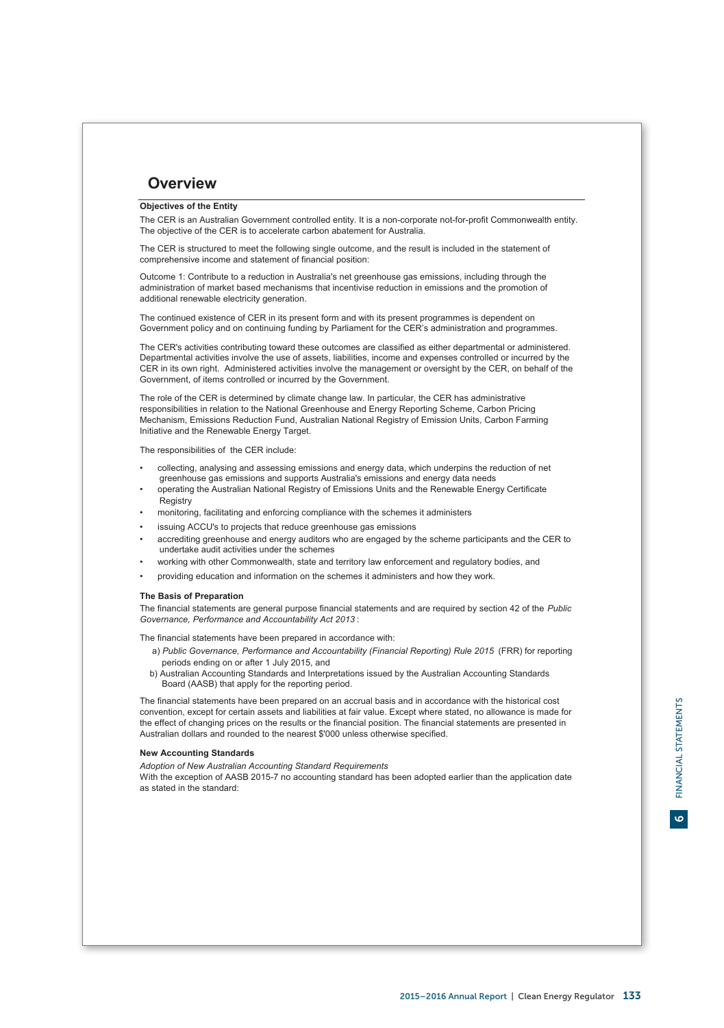# **Overview**

# **Objectives of the Entity**

The CER is an Australian Government controlled entity. It is a non-corporate not-for-profit Commonwealth entity. The objective of the CER is to accelerate carbon abatement for Australia.

The CER is structured to meet the following single outcome, and the result is included in the statement of comprehensive income and statement of financial position:

Outcome 1: Contribute to a reduction in Australia's net greenhouse gas emissions, including through the administration of market based mechanisms that incentivise reduction in emissions and the promotion of additional renewable electricity generation.

The continued existence of CER in its present form and with its present programmes is dependent on Government policy and on continuing funding by Parliament for the CER's administration and programmes.

The CER's activities contributing toward these outcomes are classified as either departmental or administered. Departmental activities involve the use of assets, liabilities, income and expenses controlled or incurred by the CER in its own right. Administered activities involve the management or oversight by the CER, on behalf of the Government, of items controlled or incurred by the Government.

The role of the CER is determined by climate change law. In particular, the CER has administrative responsibilities in relation to the National Greenhouse and Energy Reporting Scheme, Carbon Pricing Mechanism, Emissions Reduction Fund, Australian National Registry of Emission Units, Carbon Farming Initiative and the Renewable Energy Target.

The responsibilities of the CER include:

- greenhouse gas emissions and supports Australia's emissions and energy data needs • collecting, analysing and assessing emissions and energy data, which underpins the reduction of net
- **Registry** • operating the Australian National Registry of Emissions Units and the Renewable Energy Certificate
- monitoring, facilitating and enforcing compliance with the schemes it administers
- issuing ACCU's to projects that reduce greenhouse gas emissions
- undertake audit activities under the schemes • accrediting greenhouse and energy auditors who are engaged by the scheme participants and the CER to
- working with other Commonwealth, state and territory law enforcement and regulatory bodies, and
- providing education and information on the schemes it administers and how they work.

# **The Basis of Preparation**

The financial statements are general purpose financial statements and are required by section 42 of the *Public Governance, Performance and Accountability Act 2013* :

The financial statements have been prepared in accordance with:

- periods ending on or after 1 July 2015, and a) *Public Governance, Performance and Accountability (Financial Reporting) Rule 2015* (FRR) for reporting
- Board (AASB) that apply for the reporting period. b) Australian Accounting Standards and Interpretations issued by the Australian Accounting Standards

The financial statements have been prepared on an accrual basis and in accordance with the historical cost convention, except for certain assets and liabilities at fair value. Except where stated, no allowance is made for the effect of changing prices on the results or the financial position. The financial statements are presented in Australian dollars and rounded to the nearest \$'000 unless otherwise specified.

# **New Accounting Standards**

*Adoption of New Australian Accounting Standard Requirements*

With the exception of AASB 2015-7 no accounting standard has been adopted earlier than the application date as stated in the standard:

 $\bullet$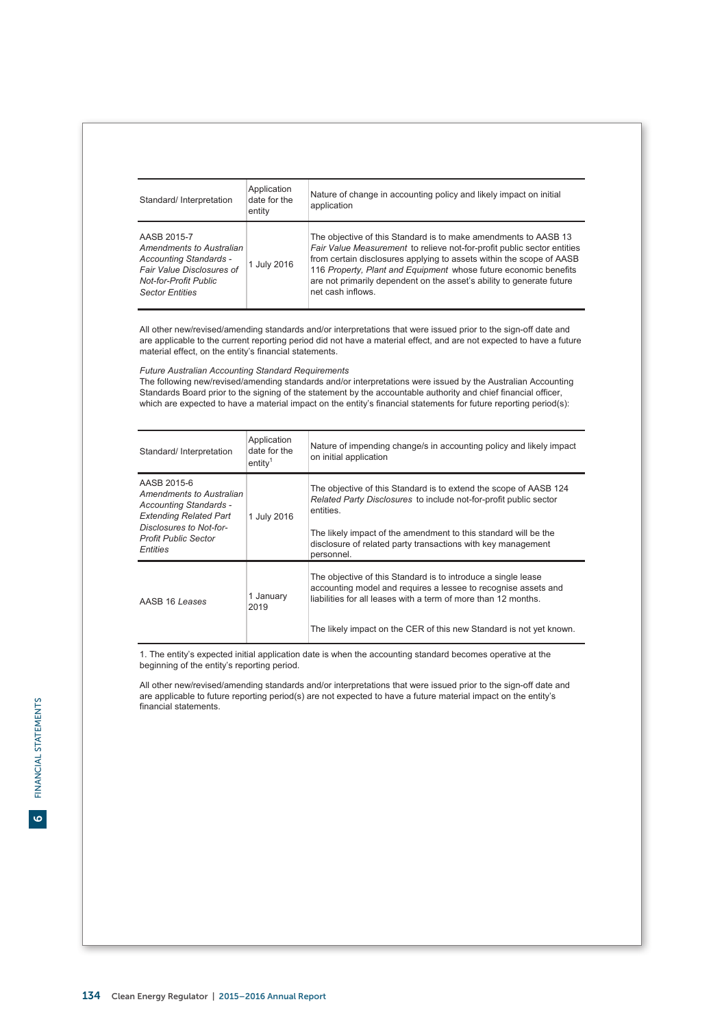| Standard/ Interpretation                                                                                                                                 | Application<br>date for the<br>entity | Nature of change in accounting policy and likely impact on initial<br>application                                                                                                                                                                                                                                                                                                    |
|----------------------------------------------------------------------------------------------------------------------------------------------------------|---------------------------------------|--------------------------------------------------------------------------------------------------------------------------------------------------------------------------------------------------------------------------------------------------------------------------------------------------------------------------------------------------------------------------------------|
| AASB 2015-7<br>Amendments to Australian<br>Accounting Standards -<br>Fair Value Disclosures of<br><b>Not-for-Profit Public</b><br><b>Sector Entities</b> | 1 July 2016                           | The objective of this Standard is to make amendments to AASB 13<br>Fair Value Measurement to relieve not-for-profit public sector entities<br>from certain disclosures applying to assets within the scope of AASB<br>116 Property, Plant and Equipment whose future economic benefits<br>are not primarily dependent on the asset's ability to generate future<br>net cash inflows. |

All other new/revised/amending standards and/or interpretations that were issued prior to the sign-off date and are applicable to the current reporting period did not have a material effect, and are not expected to have a future material effect, on the entity's financial statements.

# *Future Australian Accounting Standard Requirements*

The following new/revised/amending standards and/or interpretations were issued by the Australian Accounting Standards Board prior to the signing of the statement by the accountable authority and chief financial officer, which are expected to have a material impact on the entity's financial statements for future reporting period(s):

| Standard/Interpretation                                                                                                                                                  | Application<br>date for the<br>entitv <sup>1</sup> | Nature of impending change/s in accounting policy and likely impact<br>on initial application                                                                                                                                                                                                        |
|--------------------------------------------------------------------------------------------------------------------------------------------------------------------------|----------------------------------------------------|------------------------------------------------------------------------------------------------------------------------------------------------------------------------------------------------------------------------------------------------------------------------------------------------------|
| AASB 2015-6<br>Amendments to Australian<br>Accounting Standards -<br><b>Extending Related Part</b><br>Disclosures to Not-for-<br><b>Profit Public Sector</b><br>Entities | 1 July 2016                                        | The objective of this Standard is to extend the scope of AASB 124<br>Related Party Disclosures to include not-for-profit public sector<br>entities.<br>The likely impact of the amendment to this standard will be the<br>disclosure of related party transactions with key management<br>personnel. |
| AASB 16 Leases                                                                                                                                                           | 1 January<br>2019                                  | The objective of this Standard is to introduce a single lease<br>accounting model and requires a lessee to recognise assets and<br>liabilities for all leases with a term of more than 12 months.<br>The likely impact on the CER of this new Standard is not yet known.                             |

1. The entity's expected initial application date is when the accounting standard becomes operative at the beginning of the entity's reporting period.

All other new/revised/amending standards and/or interpretations that were issued prior to the sign-off date and are applicable to future reporting period(s) are not expected to have a future material impact on the entity's financial statements.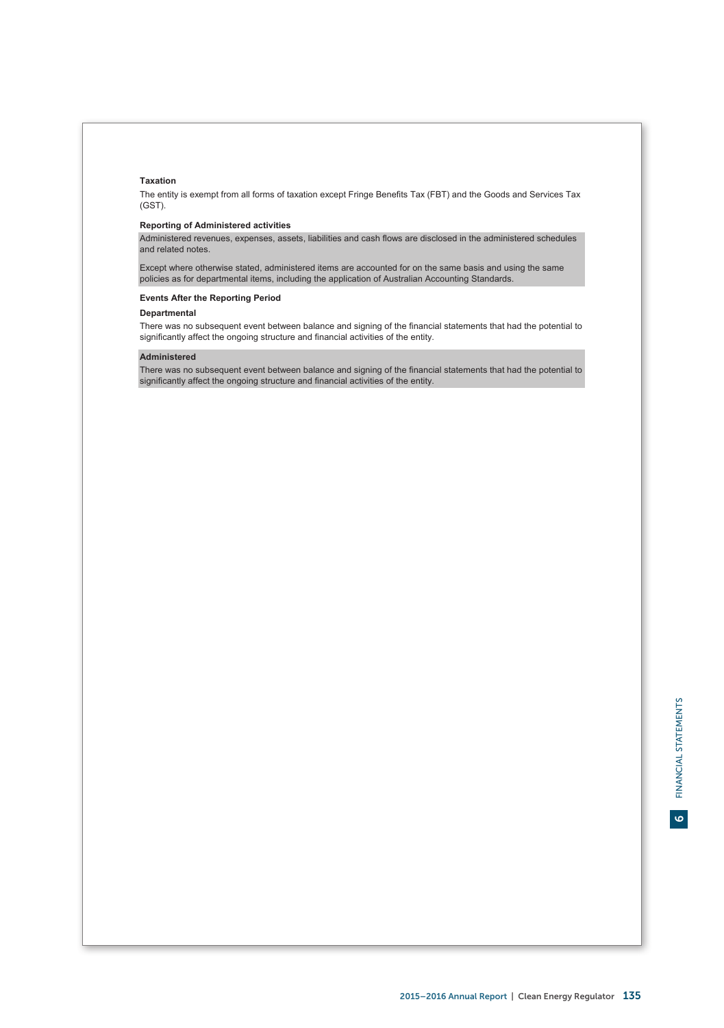# **Taxation**

The entity is exempt from all forms of taxation except Fringe Benefits Tax (FBT) and the Goods and Services Tax (GST).

# **Reporting of Administered activities**

Administered revenues, expenses, assets, liabilities and cash flows are disclosed in the administered schedules and related notes.

Except where otherwise stated, administered items are accounted for on the same basis and using the same policies as for departmental items, including the application of Australian Accounting Standards.

# **Events After the Reporting Period**

# **Departmental**

There was no subsequent event between balance and signing of the financial statements that had the potential to significantly affect the ongoing structure and financial activities of the entity.

# **Administered**

There was no subsequent event between balance and signing of the financial statements that had the potential to significantly affect the ongoing structure and financial activities of the entity.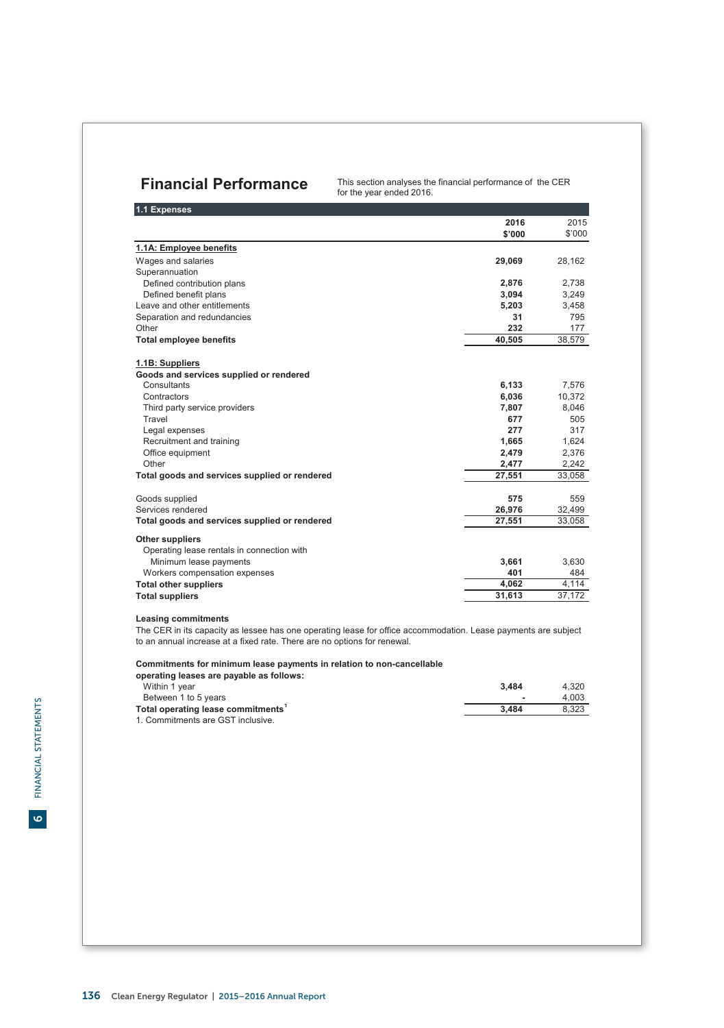**Financial Performance** This section analyses the financial performance of the CER for the year ended 2016.

| 1.1 Expenses                                  |        |        |
|-----------------------------------------------|--------|--------|
|                                               | 2016   | 2015   |
|                                               | \$'000 | \$'000 |
| 1.1A: Employee benefits                       |        |        |
| Wages and salaries                            | 29,069 | 28,162 |
| Superannuation                                |        |        |
| Defined contribution plans                    | 2,876  | 2,738  |
| Defined benefit plans                         | 3,094  | 3,249  |
| Leave and other entitlements                  | 5.203  | 3,458  |
| Separation and redundancies                   | 31     | 795    |
| Other                                         | 232    | 177    |
| <b>Total employee benefits</b>                | 40,505 | 38,579 |
| 1.1B: Suppliers                               |        |        |
| Goods and services supplied or rendered       |        |        |
| Consultants                                   | 6,133  | 7,576  |
| Contractors                                   | 6,036  | 10,372 |
| Third party service providers                 | 7.807  | 8.046  |
| Travel                                        | 677    | 505    |
| Legal expenses                                | 277    | 317    |
| Recruitment and training                      | 1,665  | 1,624  |
| Office equipment                              | 2,479  | 2,376  |
| Other                                         | 2,477  | 2,242  |
| Total goods and services supplied or rendered | 27,551 | 33,058 |
| Goods supplied                                | 575    | 559    |
| Services rendered                             | 26,976 | 32,499 |
| Total goods and services supplied or rendered | 27,551 | 33,058 |
| Other suppliers                               |        |        |
| Operating lease rentals in connection with    |        |        |
| Minimum lease payments                        | 3,661  | 3,630  |
| Workers compensation expenses                 | 401    | 484    |
| <b>Total other suppliers</b>                  | 4,062  | 4.114  |
| <b>Total suppliers</b>                        | 31,613 | 37,172 |

# **Leasing commitments**

The CER in its capacity as lessee has one operating lease for office accommodation. Lease payments are subject to an annual increase at a fixed rate. There are no options for renewal.

# **Commitments for minimum lease payments in relation to non-cancellable**

| operating leases are payable as follows:       |                          |       |
|------------------------------------------------|--------------------------|-------|
| Within 1 year                                  | 3.484                    | 4.320 |
| Between 1 to 5 years                           | $\overline{\phantom{a}}$ | 4.003 |
| Total operating lease commitments <sup>1</sup> | 3.484                    | 8.323 |
| 1. Commitments are GST inclusive.              |                          |       |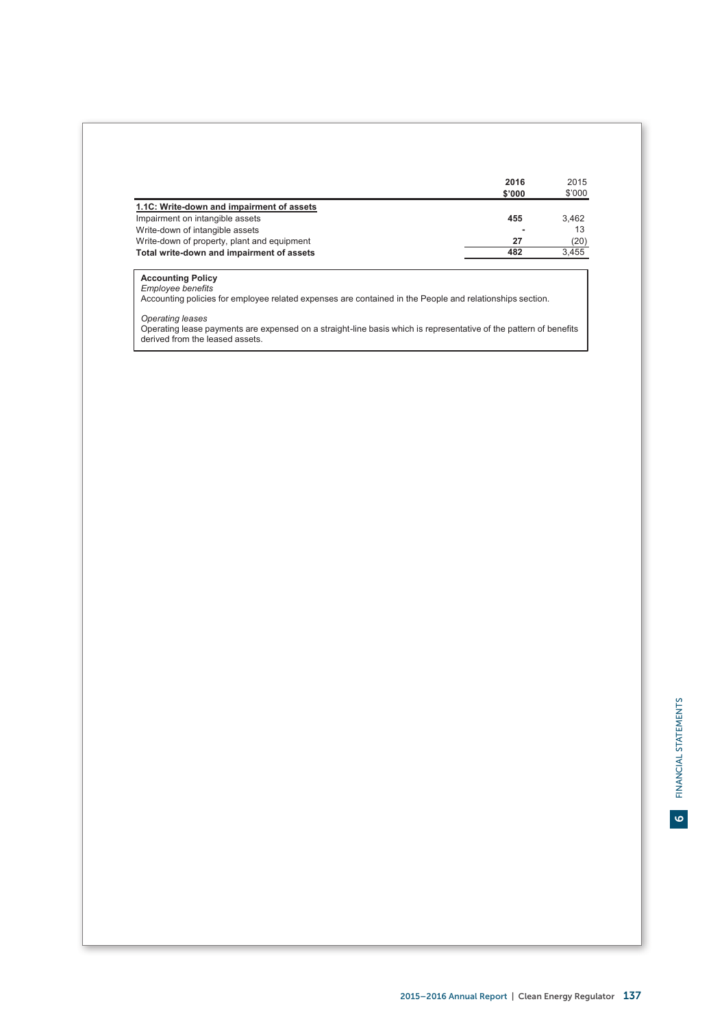|                                             | 2016   | 2015   |
|---------------------------------------------|--------|--------|
|                                             | \$'000 | \$'000 |
| 1.1C: Write-down and impairment of assets   |        |        |
| Impairment on intangible assets             | 455    | 3.462  |
| Write-down of intangible assets             |        | 13     |
| Write-down of property, plant and equipment | 27     | (20)   |
| Total write-down and impairment of assets   | 482    | 3,455  |

**Accounting Policy**<br>*Employee benefits*<br>Accounting policies for employee related expenses are contained in the People and relationships section.

*Operating leases*<br>Operating lease payments are expensed on a straight-line basis which is representative of the pattern of benefits<br>derived from the leased assets.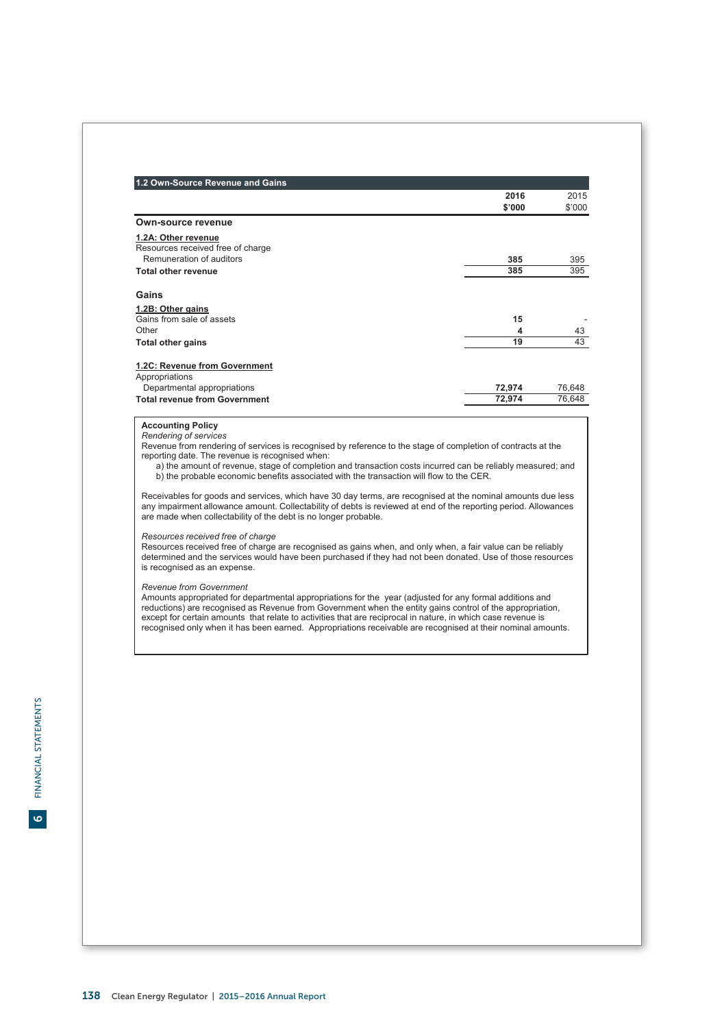| 1.2 Own-Source Revenue and Gains                                                                                                                                                                                                                                                                  |        |        |
|---------------------------------------------------------------------------------------------------------------------------------------------------------------------------------------------------------------------------------------------------------------------------------------------------|--------|--------|
|                                                                                                                                                                                                                                                                                                   | 2016   | 2015   |
|                                                                                                                                                                                                                                                                                                   | \$'000 | \$'000 |
| Own-source revenue                                                                                                                                                                                                                                                                                |        |        |
| 1.2A: Other revenue                                                                                                                                                                                                                                                                               |        |        |
| Resources received free of charge                                                                                                                                                                                                                                                                 |        |        |
| Remuneration of auditors                                                                                                                                                                                                                                                                          | 385    | 395    |
| <b>Total other revenue</b>                                                                                                                                                                                                                                                                        | 385    | 395    |
| Gains                                                                                                                                                                                                                                                                                             |        |        |
| 1.2B: Other gains                                                                                                                                                                                                                                                                                 |        |        |
| Gains from sale of assets                                                                                                                                                                                                                                                                         | 15     |        |
| Other                                                                                                                                                                                                                                                                                             | 4      | 43     |
| <b>Total other gains</b>                                                                                                                                                                                                                                                                          | 19     | 43     |
| <b>Total revenue from Government</b>                                                                                                                                                                                                                                                              | 72,974 | 76.648 |
|                                                                                                                                                                                                                                                                                                   |        |        |
|                                                                                                                                                                                                                                                                                                   |        |        |
| <b>Accounting Policy</b>                                                                                                                                                                                                                                                                          |        |        |
| Rendering of services                                                                                                                                                                                                                                                                             |        |        |
| Revenue from rendering of services is recognised by reference to the stage of completion of contracts at the<br>reporting date. The revenue is recognised when:                                                                                                                                   |        |        |
| a) the amount of revenue, stage of completion and transaction costs incurred can be reliably measured; and                                                                                                                                                                                        |        |        |
| b) the probable economic benefits associated with the transaction will flow to the CER.                                                                                                                                                                                                           |        |        |
| Receivables for goods and services, which have 30 day terms, are recognised at the nominal amounts due less<br>any impairment allowance amount. Collectability of debts is reviewed at end of the reporting period. Allowances<br>are made when collectability of the debt is no longer probable. |        |        |
| Resources received free of charge<br>Resources received free of charge are recognised as gains when, and only when, a fair value can be reliably<br>determined and the services would have been purchased if they had not been donated. Use of those resources                                    |        |        |
| is recognised as an expense.                                                                                                                                                                                                                                                                      |        |        |
| Revenue from Government<br>Amounts appropriated for departmental appropriations for the year (adjusted for any formal additions and                                                                                                                                                               |        |        |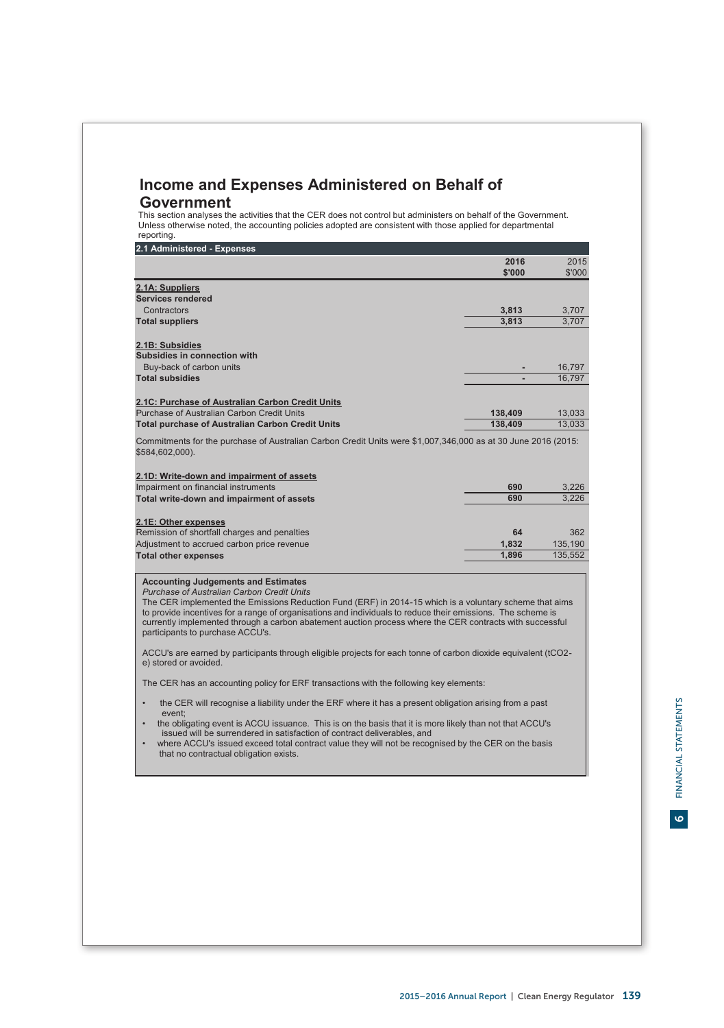# **Income and Expenses Administered on Behalf of Government**

This section analyses the activities that the CER does not control but administers on behalf of the Government. Unless otherwise noted, the accounting policies adopted are consistent with those applied for departmental reporting.

| 2.1 Administered - Expenses                                                                                                      |         |         |
|----------------------------------------------------------------------------------------------------------------------------------|---------|---------|
|                                                                                                                                  | 2016    | 2015    |
|                                                                                                                                  | \$'000  | \$'000  |
| 2.1A: Suppliers                                                                                                                  |         |         |
| Services rendered                                                                                                                |         |         |
| Contractors                                                                                                                      | 3,813   | 3,707   |
| <b>Total suppliers</b>                                                                                                           | 3,813   | 3,707   |
| 2.1B: Subsidies                                                                                                                  |         |         |
| Subsidies in connection with                                                                                                     |         |         |
| Buy-back of carbon units                                                                                                         |         | 16,797  |
| <b>Total subsidies</b>                                                                                                           |         | 16,797  |
| 2.1C: Purchase of Australian Carbon Credit Units                                                                                 |         |         |
| Purchase of Australian Carbon Credit Units                                                                                       | 138.409 | 13,033  |
| <b>Total purchase of Australian Carbon Credit Units</b>                                                                          | 138.409 | 13,033  |
| Commitments for the purchase of Australian Carbon Credit Units were \$1,007,346,000 as at 30 June 2016 (2015:<br>\$584,602,000). |         |         |
| 2.1D: Write-down and impairment of assets                                                                                        |         |         |
| Impairment on financial instruments                                                                                              | 690     | 3,226   |
| Total write-down and impairment of assets                                                                                        | 690     | 3.226   |
| 2.1E: Other expenses                                                                                                             |         |         |
| Remission of shortfall charges and penalties                                                                                     | 64      | 362     |
| Adjustment to accrued carbon price revenue                                                                                       | 1.832   | 135.190 |
| <b>Total other expenses</b>                                                                                                      | 1,896   | 135,552 |

# **Accounting Judgements and Estimates** *Purchase of Australian Carbon Credit Units*

The CER implemented the Emissions Reduction Fund (ERF) in 2014-15 which is a voluntary scheme that aims to provide incentives for a range of organisations and individuals to reduce their emissions. The scheme is currently implemented through a carbon abatement auction process where the CER contracts with successful participants to purchase ACCU's.

ACCU's are earned by participants through eligible projects for each tonne of carbon dioxide equivalent (tCO2 e) stored or avoided.

The CER has an accounting policy for ERF transactions with the following key elements:

- the CER will recognise a liability under the ERF where it has a present obligation arising from a past event;
- the obligating event is ACCU issuance. This is on the basis that it is more likely than not that ACCU's issued will be surrendered in satisfaction of contract deliverables, and
- where ACCU's issued exceed total contract value they will not be recognised by the CER on the basis that no contractual obligation exists.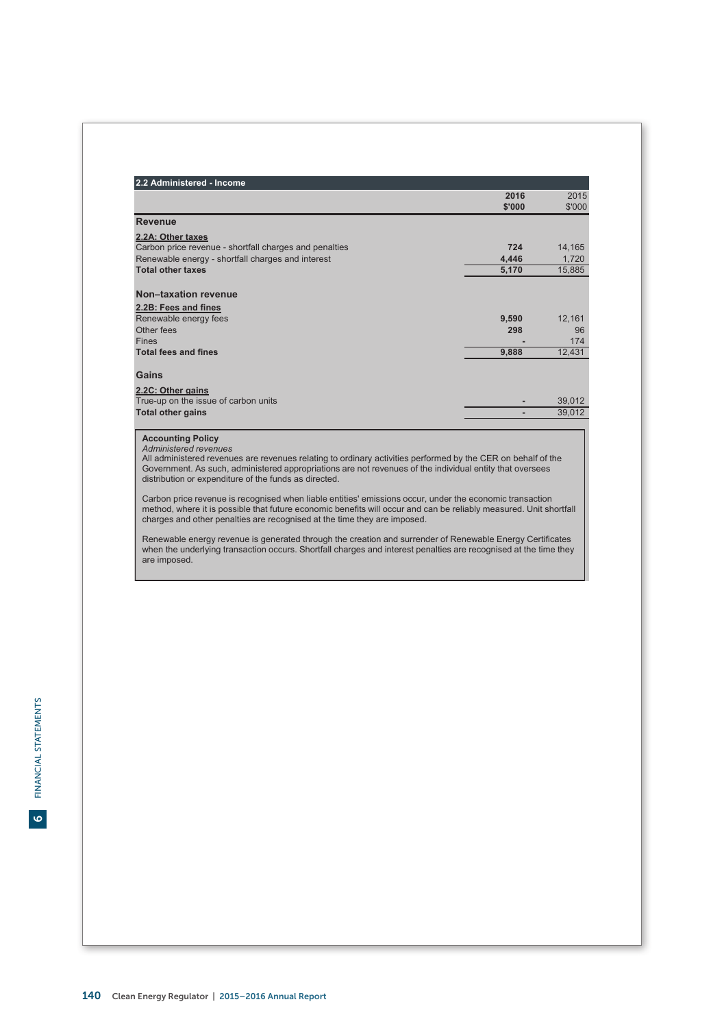| 2.2 Administered - Income                                |        |        |
|----------------------------------------------------------|--------|--------|
|                                                          | 2016   | 2015   |
|                                                          | \$'000 | \$'000 |
| <b>Revenue</b>                                           |        |        |
| 2.2A: Other taxes                                        |        |        |
| Carbon price revenue - shortfall charges and penalties   | 724    | 14,165 |
| Renewable energy - shortfall charges and interest        | 4,446  | 1,720  |
| <b>Total other taxes</b>                                 | 5,170  | 15,885 |
|                                                          |        |        |
| Non-taxation revenue                                     |        |        |
| 2.2B: Fees and fines                                     |        |        |
| Renewable energy fees                                    | 9,590  | 12,161 |
| Other fees                                               | 298    | 96     |
| <b>Fines</b>                                             |        | 174    |
| <b>Total fees and fines</b>                              | 9,888  | 12,431 |
| Gains                                                    |        |        |
| 2.2C: Other gains                                        |        |        |
| True-up on the issue of carbon units                     |        | 39,012 |
| <b>Total other gains</b>                                 |        | 39,012 |
| <b>Accounting Policy</b><br><b>Administered revenues</b> |        |        |

*Administered revenues* All administered revenues are revenues relating to ordinary activities performed by the CER on behalf of the Government. As such, administered appropriations are not revenues of the individual entity that oversees distribution or expenditure of the funds as directed.

Carbon price revenue is recognised when liable entities' emissions occur, under the economic transaction<br>method, where it is possible that future economic benefits will occur and can be reliably measured. Unit shortfall<br>ch

Renewable energy revenue is generated through the creation and surrender of Renewable Energy Certificates when the underlying transaction occurs. Shortfall charges and interest penalties are recognised at the time they are imposed.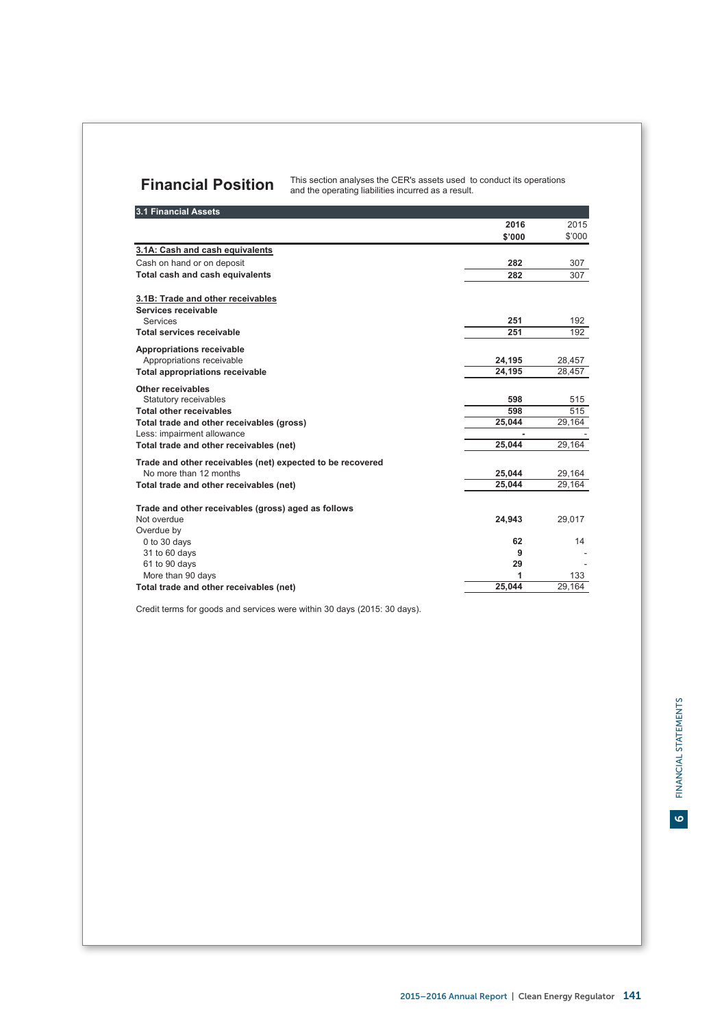# **Financial Position** This section analyses the CER's assets used to conduct its operations and the operations only and the operations only all the sperations only and the operations only all the sperations on  $\mathbf{F}$

| 3.1 Financial Assets                                                                                                                                                                               |                                |                                |
|----------------------------------------------------------------------------------------------------------------------------------------------------------------------------------------------------|--------------------------------|--------------------------------|
|                                                                                                                                                                                                    | 2016                           | 2015                           |
|                                                                                                                                                                                                    | \$'000                         | \$'000                         |
| 3.1A: Cash and cash equivalents                                                                                                                                                                    |                                |                                |
| Cash on hand or on deposit                                                                                                                                                                         | 282                            | 307                            |
| Total cash and cash equivalents                                                                                                                                                                    | 282                            | 307                            |
| 3.1B: Trade and other receivables<br>Services receivable<br><b>Services</b><br>Total services receivable                                                                                           | 251<br>251                     | 192<br>192                     |
| Appropriations receivable<br>Appropriations receivable<br><b>Total appropriations receivable</b>                                                                                                   | 24,195<br>24,195               | 28,457<br>28,457               |
| Other receivables<br>Statutory receivables<br><b>Total other receivables</b><br>Total trade and other receivables (gross)<br>Less: impairment allowance<br>Total trade and other receivables (net) | 598<br>598<br>25,044<br>25,044 | 515<br>515<br>29,164<br>29,164 |
| Trade and other receivables (net) expected to be recovered<br>No more than 12 months<br>Total trade and other receivables (net)                                                                    | 25,044<br>25,044               | 29,164<br>29,164               |
| Trade and other receivables (gross) aged as follows<br>Not overdue<br>Overdue by                                                                                                                   | 24,943                         | 29,017                         |
| 0 to 30 days<br>31 to 60 days<br>61 to 90 days<br>More than 90 days                                                                                                                                | 62<br>9<br>29<br>1             | 14<br>133                      |
| Total trade and other receivables (net)                                                                                                                                                            | 25,044                         | 29,164                         |

Credit terms for goods and services were within 30 days (2015: 30 days).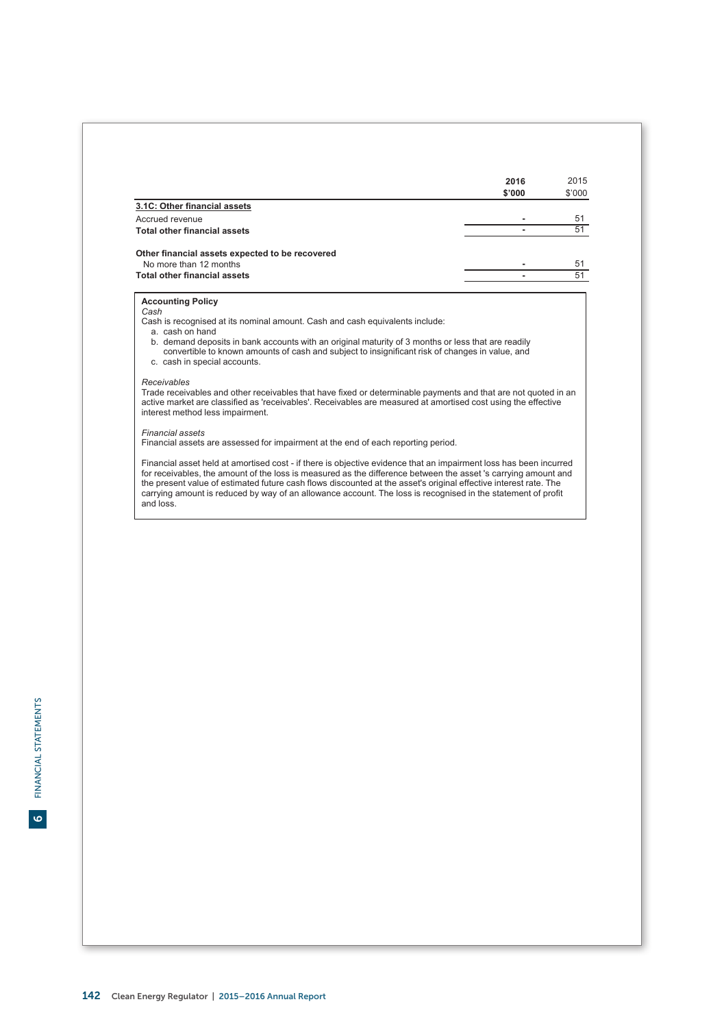|                                                                                                                                                                                                                                                                                                                                                                                                                                                                                      | 2016<br>\$'000 | 2015<br>\$'000 |
|--------------------------------------------------------------------------------------------------------------------------------------------------------------------------------------------------------------------------------------------------------------------------------------------------------------------------------------------------------------------------------------------------------------------------------------------------------------------------------------|----------------|----------------|
| 3.1C: Other financial assets                                                                                                                                                                                                                                                                                                                                                                                                                                                         |                |                |
| Accrued revenue                                                                                                                                                                                                                                                                                                                                                                                                                                                                      |                | 51             |
| <b>Total other financial assets</b>                                                                                                                                                                                                                                                                                                                                                                                                                                                  |                | 51             |
| Other financial assets expected to be recovered                                                                                                                                                                                                                                                                                                                                                                                                                                      |                |                |
| No more than 12 months                                                                                                                                                                                                                                                                                                                                                                                                                                                               |                | 51             |
| <b>Total other financial assets</b>                                                                                                                                                                                                                                                                                                                                                                                                                                                  |                | 51             |
| Cash<br>Cash is recognised at its nominal amount. Cash and cash equivalents include:<br>a. cash on hand<br>b. demand deposits in bank accounts with an original maturity of 3 months or less that are readily<br>convertible to known amounts of cash and subject to insignificant risk of changes in value, and<br>c. cash in special accounts.                                                                                                                                     |                |                |
| Receivables<br>Trade receivables and other receivables that have fixed or determinable payments and that are not quoted in an<br>active market are classified as 'receivables'. Receivables are measured at amortised cost using the effective<br>interest method less impairment.                                                                                                                                                                                                   |                |                |
| <b>Financial assets</b><br>Financial assets are assessed for impairment at the end of each reporting period.                                                                                                                                                                                                                                                                                                                                                                         |                |                |
| Financial asset held at amortised cost - if there is objective evidence that an impairment loss has been incurred<br>for receivables, the amount of the loss is measured as the difference between the asset 's carrying amount and<br>the present value of estimated future cash flows discounted at the asset's original effective interest rate. The<br>carrying amount is reduced by way of an allowance account. The loss is recognised in the statement of profit<br>and loss. |                |                |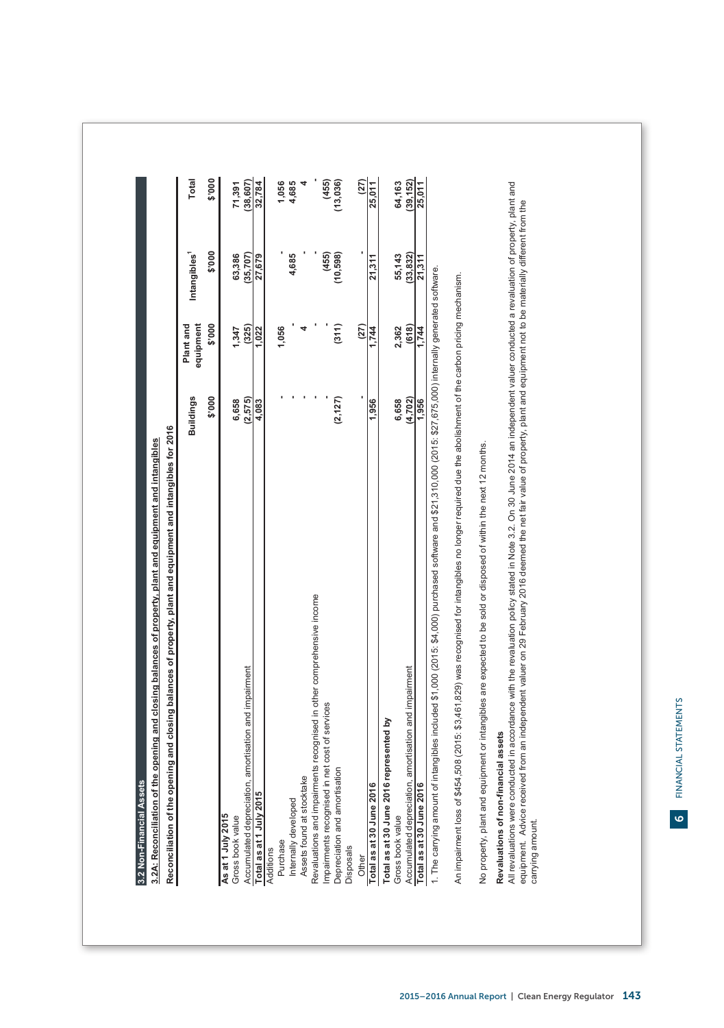| (10, 598)<br>21,311<br>\$'000<br>equipment<br>Plant and<br>(311)<br>(27)<br>(325)<br>1,056<br>4<br>2,362<br>1,347<br>1,744<br>1,022<br>\$'000<br><b>Buildings</b><br>(2, 127)<br>(2, 575)<br>6,658<br>1,956<br>6,658<br>4,083<br>Revaluations and impairments recognised in other comprehensive income<br>amortisation and impairment<br>Impairments recognised in net cost of services<br>represented by<br>Depreciation and amortisation<br>Assets found at stocktake<br>Accumulated depreciation<br>Total as at 30 June 2016<br>Total as at 30 June 2016<br>Total as at 1 July 2015<br>Internally developed<br>As at 1 July 2015<br>Gross book value<br>Gross book value<br>Purchase<br>Disposals<br>Additions<br>Other | \$'000<br>Intangibles <sup>1</sup><br>(455)<br>63,386<br>4,685<br>(35, 707)<br>27,679 |           |
|----------------------------------------------------------------------------------------------------------------------------------------------------------------------------------------------------------------------------------------------------------------------------------------------------------------------------------------------------------------------------------------------------------------------------------------------------------------------------------------------------------------------------------------------------------------------------------------------------------------------------------------------------------------------------------------------------------------------------|---------------------------------------------------------------------------------------|-----------|
|                                                                                                                                                                                                                                                                                                                                                                                                                                                                                                                                                                                                                                                                                                                            |                                                                                       |           |
|                                                                                                                                                                                                                                                                                                                                                                                                                                                                                                                                                                                                                                                                                                                            |                                                                                       |           |
|                                                                                                                                                                                                                                                                                                                                                                                                                                                                                                                                                                                                                                                                                                                            |                                                                                       |           |
|                                                                                                                                                                                                                                                                                                                                                                                                                                                                                                                                                                                                                                                                                                                            |                                                                                       |           |
|                                                                                                                                                                                                                                                                                                                                                                                                                                                                                                                                                                                                                                                                                                                            |                                                                                       |           |
|                                                                                                                                                                                                                                                                                                                                                                                                                                                                                                                                                                                                                                                                                                                            |                                                                                       |           |
|                                                                                                                                                                                                                                                                                                                                                                                                                                                                                                                                                                                                                                                                                                                            |                                                                                       |           |
|                                                                                                                                                                                                                                                                                                                                                                                                                                                                                                                                                                                                                                                                                                                            |                                                                                       |           |
|                                                                                                                                                                                                                                                                                                                                                                                                                                                                                                                                                                                                                                                                                                                            |                                                                                       |           |
|                                                                                                                                                                                                                                                                                                                                                                                                                                                                                                                                                                                                                                                                                                                            |                                                                                       |           |
|                                                                                                                                                                                                                                                                                                                                                                                                                                                                                                                                                                                                                                                                                                                            |                                                                                       |           |
|                                                                                                                                                                                                                                                                                                                                                                                                                                                                                                                                                                                                                                                                                                                            |                                                                                       |           |
|                                                                                                                                                                                                                                                                                                                                                                                                                                                                                                                                                                                                                                                                                                                            |                                                                                       |           |
|                                                                                                                                                                                                                                                                                                                                                                                                                                                                                                                                                                                                                                                                                                                            |                                                                                       |           |
|                                                                                                                                                                                                                                                                                                                                                                                                                                                                                                                                                                                                                                                                                                                            |                                                                                       |           |
|                                                                                                                                                                                                                                                                                                                                                                                                                                                                                                                                                                                                                                                                                                                            |                                                                                       |           |
|                                                                                                                                                                                                                                                                                                                                                                                                                                                                                                                                                                                                                                                                                                                            |                                                                                       |           |
|                                                                                                                                                                                                                                                                                                                                                                                                                                                                                                                                                                                                                                                                                                                            |                                                                                       |           |
|                                                                                                                                                                                                                                                                                                                                                                                                                                                                                                                                                                                                                                                                                                                            |                                                                                       |           |
| (4, 702)<br>amortisation and impairment<br>Accumulated depreciation                                                                                                                                                                                                                                                                                                                                                                                                                                                                                                                                                                                                                                                        | (618)                                                                                 | 55,143    |
| 21,311<br>1.744<br>1,956<br>Total as at 30 June 2016                                                                                                                                                                                                                                                                                                                                                                                                                                                                                                                                                                                                                                                                       |                                                                                       | (33, 832) |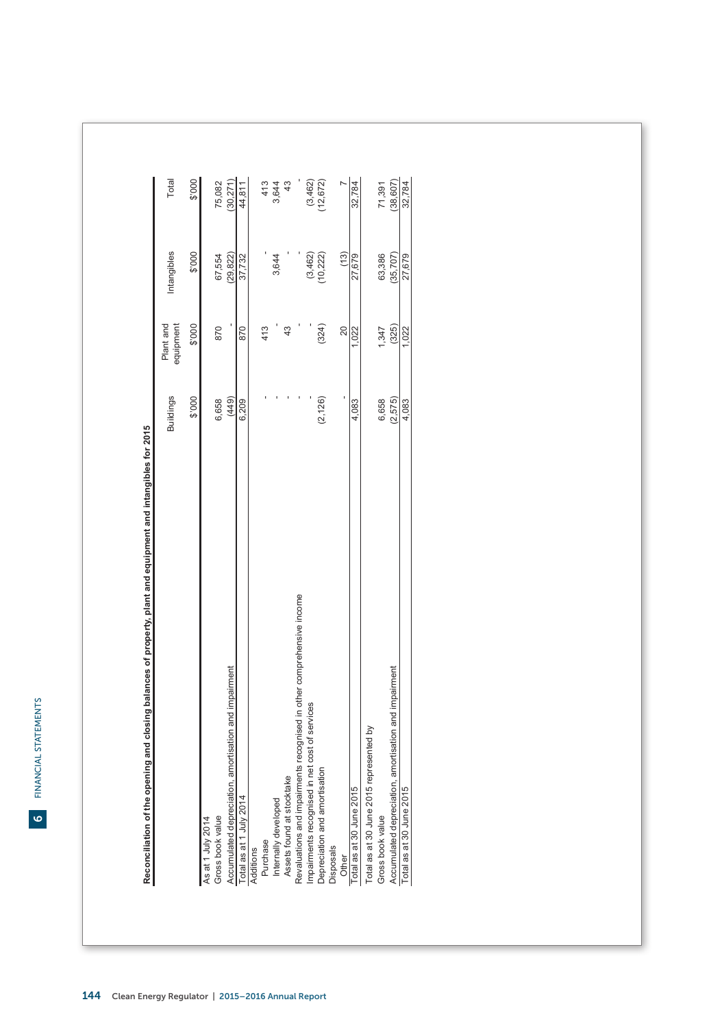FINANCIAL STATEMENTS FINANCIAL STATEMENTS

|                                                                       | <b>Buildings</b> | Plant and<br>equipment | Intangibles | Total     |
|-----------------------------------------------------------------------|------------------|------------------------|-------------|-----------|
|                                                                       | \$'000           | \$'000                 | \$'000      | \$'000    |
| As at 1 July 2014                                                     |                  |                        |             |           |
| Gross book value                                                      | 6,658            | 870                    | 67,554      | 75,082    |
| Accumulated depreciation, amortisation and impairment                 | (449)            |                        | (29, 822)   | (30,271)  |
| Total as at 1 July 2014                                               | 6,209            | 870                    | 37,732      | 44,811    |
| Additions                                                             |                  |                        |             |           |
| Purchase                                                              |                  | 413                    |             | 413       |
| Internally developed                                                  |                  |                        | 3,644       | 3,644     |
| Assets found at stocktake                                             |                  | $^{43}$                |             | 43        |
| Revaluations and impairments recognised in other comprehensive income |                  |                        |             |           |
| mpairments recognised in net cost of services                         |                  |                        | (3,462)     | (3,462)   |
| Depreciation and amortisation                                         | (2, 126)         | (324)                  | (10,222)    | (12, 672) |
| <b>Disposals</b>                                                      |                  |                        |             |           |
| Other                                                                 |                  | 20                     | (13)        |           |
| Total as at 30 June 2015                                              | 4,083            | 1,022                  | 27,679      | 32,784    |
| Total as at 30 June 2015 represented by                               |                  |                        |             |           |
| Gross book value                                                      | 6,658            | 1,347                  | 63,386      | 71,391    |
| Accumulated depreciation, amortisation and impairment                 | (2,575)          | (325)                  | (35,707)    | (38, 607) |
| Total as at 30 June 2015                                              | 4,083            | 1,022                  | 27,679      | 32,784    |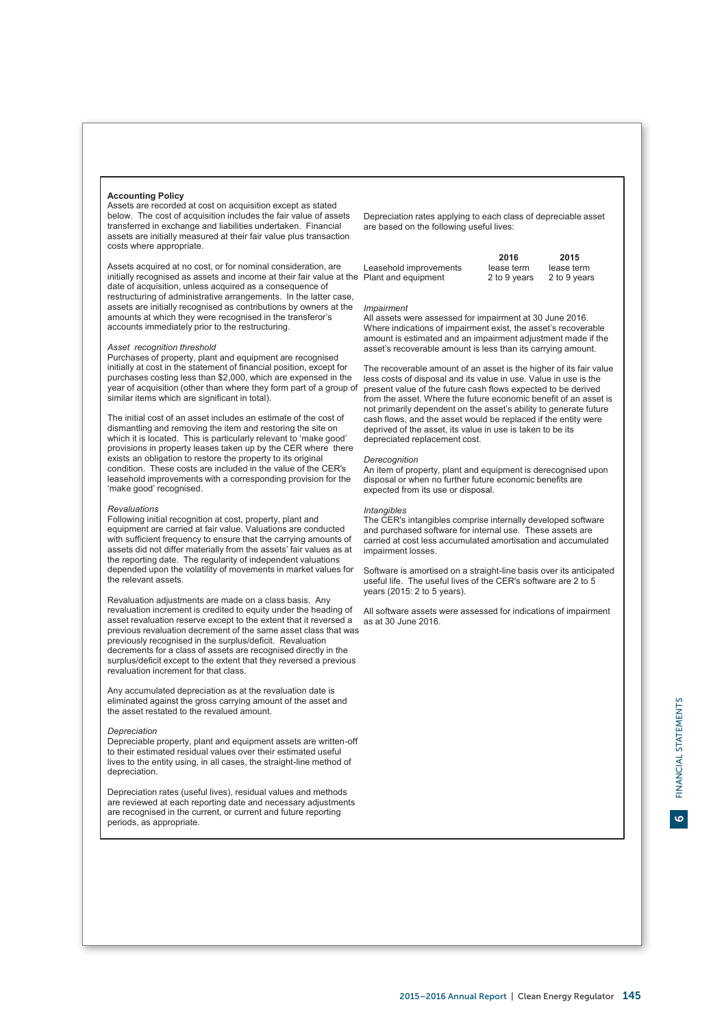# **Accounting Policy**

Assets are recorded at cost on acquisition except as stated below. The cost of acquisition includes the fair value of assets transferred in exchange and liabilities undertaken. Financial assets are initially measured at their fair value plus transaction costs where appropriate.

Assets acquired at no cost, or for nominal consideration, are initially recognised as assets and income at their fair value at the date of acquisition, unless acquired as a consequence of restructuring of administrative arrangements. In the latter case, assets are initially recognised as contributions by owners at the amounts at which they were recognised in the transferor's accounts immediately prior to the restructuring.

# *Asset recognition threshold*

Purchases of property, plant and equipment are recognised initially at cost in the statement of financial position, except for purchases costing less than \$2,000, which are expensed in the year of acquisition (other than where they form part of a group of similar items which are significant in total).

The initial cost of an asset includes an estimate of the cost of dismantling and removing the item and restoring the site on which it is located. This is particularly relevant to 'make good' provisions in property leases taken up by the CER where there exists an obligation to restore the property to its original condition. These costs are included in the value of the CER's leasehold improvements with a corresponding provision for the 'make good' recognised.

# *Revaluations*

Following initial recognition at cost, property, plant and equipment are carried at fair value. Valuations are conducted with sufficient frequency to ensure that the carrying amounts of assets did not differ materially from the assets' fair values as at the reporting date. The regularity of independent valuations depended upon the volatility of movements in market values for the relevant assets.

Revaluation adjustments are made on a class basis. Any revaluation increment is credited to equity under the heading of asset revaluation reserve except to the extent that it reversed a previous revaluation decrement of the same asset class that was previously recognised in the surplus/deficit. Revaluation decrements for a class of assets are recognised directly in the surplus/deficit except to the extent that they reversed a previous revaluation increment for that class.

Any accumulated depreciation as at the revaluation date is eliminated against the gross carrying amount of the asset and the asset restated to the revalued amount.

# *Depreciation*

Depreciable property, plant and equipment assets are written-off to their estimated residual values over their estimated useful lives to the entity using, in all cases, the straight-line method of depreciation.

Depreciation rates (useful lives), residual values and methods are reviewed at each reporting date and necessary adjustments are recognised in the current, or current and future reporting periods, as appropriate.

Depreciation rates applying to each class of depreciable asset are based on the following useful lives:

|                            | 2016         | 2015         |
|----------------------------|--------------|--------------|
| Leasehold improvements     | lease term   | lease term   |
| <b>Plant and equipment</b> | 2 to 9 years | 2 to 9 years |

# *Impairment*

All assets were assessed for impairment at 30 June 2016. Where indications of impairment exist, the asset's recoverable amount is estimated and an impairment adjustment made if the asset's recoverable amount is less than its carrying amount.

The recoverable amount of an asset is the higher of its fair value less costs of disposal and its value in use. Value in use is the present value of the future cash flows expected to be derived from the asset. Where the future economic benefit of an asset is not primarily dependent on the asset's ability to generate future cash flows, and the asset would be replaced if the entity were deprived of the asset, its value in use is taken to be its depreciated replacement cost.

### *Derecognition*

An item of property, plant and equipment is derecognised upon disposal or when no further future economic benefits are expected from its use or disposal.

# *Intangibles*

The CER's intangibles comprise internally developed software and purchased software for internal use. These assets are carried at cost less accumulated amortisation and accumulated impairment losses.

Software is amortised on a straight-line basis over its anticipated useful life. The useful lives of the CER's software are 2 to 5 years (2015: 2 to 5 years).

All software assets were assessed for indications of impairment as at 30 June 2016.

 $\bullet$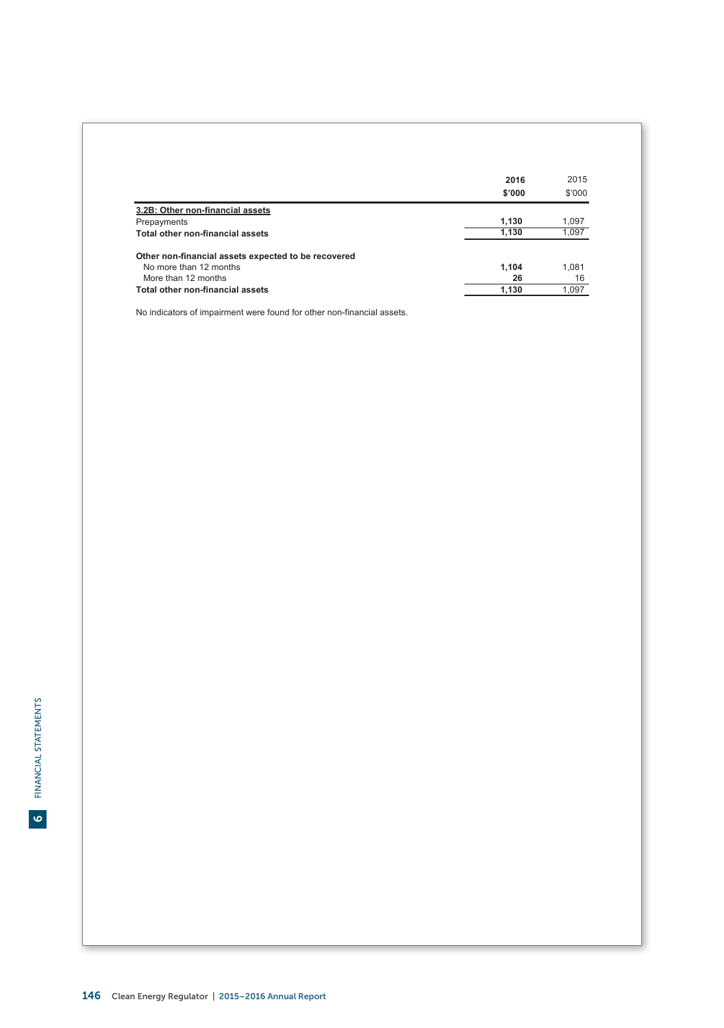|                                                     | 2016<br>\$'000 | 2015<br>\$'000 |
|-----------------------------------------------------|----------------|----------------|
| 3.2B: Other non-financial assets                    |                |                |
| Prepayments                                         | 1.130          | 1.097          |
| Total other non-financial assets                    | 1.130          | 1.097          |
| Other non-financial assets expected to be recovered |                |                |
| No more than 12 months                              | 1,104          | 1.081          |
| More than 12 months                                 | 26             | 16             |
| Total other non-financial assets                    | 1,130          | 1,097          |

No indicators of impairment were found for other non-financial assets.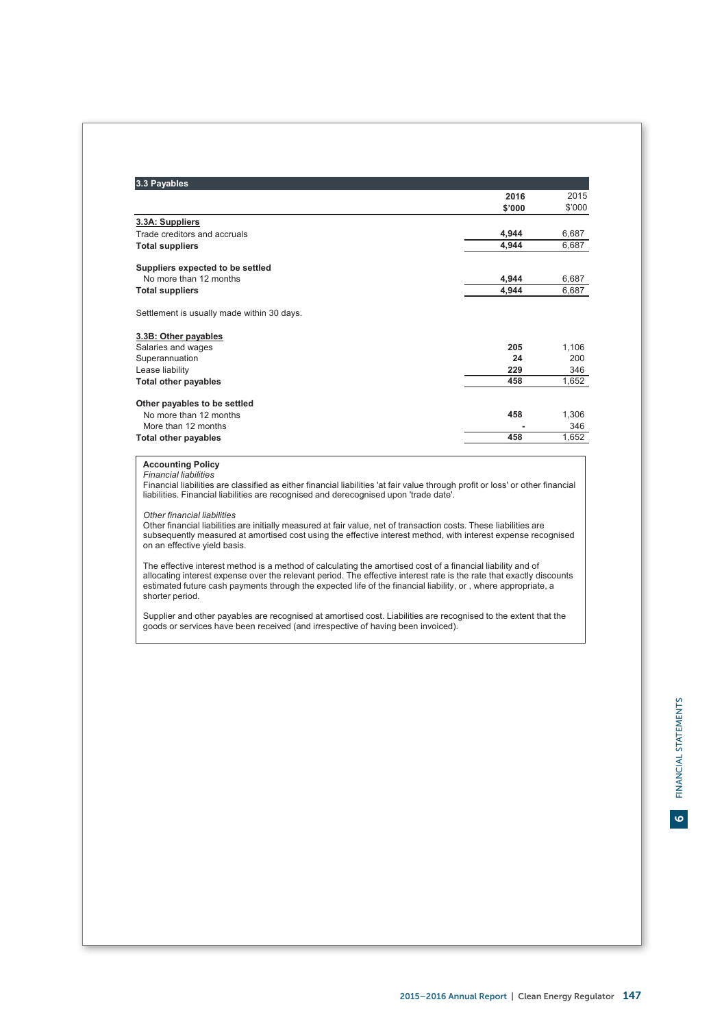| \$'000<br>3.3A: Suppliers<br>Trade creditors and accruals<br>4,944<br>4,944<br><b>Total suppliers</b><br>Suppliers expected to be settled<br>No more than 12 months<br>4,944<br>4,944<br><b>Total suppliers</b><br>Settlement is usually made within 30 days.<br>3.3B: Other payables<br>Salaries and wages<br>205<br>Superannuation<br>24<br>229<br>Lease liability<br>458<br><b>Total other payables</b><br>Other payables to be settled<br>458<br>No more than 12 months<br>More than 12 months<br>458<br><b>Total other payables</b><br><b>Accounting Policy</b><br><b>Financial liabilities</b><br>liabilities. Financial liabilities are recognised and derecognised upon 'trade date'.<br>Other financial liabilities<br>Other financial liabilities are initially measured at fair value, net of transaction costs. These liabilities are<br>on an effective yield basis.<br>The effective interest method is a method of calculating the amortised cost of a financial liability and of<br>estimated future cash payments through the expected life of the financial liability, or, where appropriate, a<br>shorter period.<br>Supplier and other payables are recognised at amortised cost. Liabilities are recognised to the extent that the<br>goods or services have been received (and irrespective of having been invoiced). | 6,687<br>1,106<br>1,306<br>Financial liabilities are classified as either financial liabilities 'at fair value through profit or loss' or other financial<br>subsequently measured at amortised cost using the effective interest method, with interest expense recognised<br>allocating interest expense over the relevant period. The effective interest rate is the rate that exactly discounts | 3.3 Payables | 2016 | 2015   |
|---------------------------------------------------------------------------------------------------------------------------------------------------------------------------------------------------------------------------------------------------------------------------------------------------------------------------------------------------------------------------------------------------------------------------------------------------------------------------------------------------------------------------------------------------------------------------------------------------------------------------------------------------------------------------------------------------------------------------------------------------------------------------------------------------------------------------------------------------------------------------------------------------------------------------------------------------------------------------------------------------------------------------------------------------------------------------------------------------------------------------------------------------------------------------------------------------------------------------------------------------------------------------------------------------------------------------------------------|----------------------------------------------------------------------------------------------------------------------------------------------------------------------------------------------------------------------------------------------------------------------------------------------------------------------------------------------------------------------------------------------------|--------------|------|--------|
|                                                                                                                                                                                                                                                                                                                                                                                                                                                                                                                                                                                                                                                                                                                                                                                                                                                                                                                                                                                                                                                                                                                                                                                                                                                                                                                                             |                                                                                                                                                                                                                                                                                                                                                                                                    |              |      | \$'000 |
|                                                                                                                                                                                                                                                                                                                                                                                                                                                                                                                                                                                                                                                                                                                                                                                                                                                                                                                                                                                                                                                                                                                                                                                                                                                                                                                                             |                                                                                                                                                                                                                                                                                                                                                                                                    |              |      |        |
|                                                                                                                                                                                                                                                                                                                                                                                                                                                                                                                                                                                                                                                                                                                                                                                                                                                                                                                                                                                                                                                                                                                                                                                                                                                                                                                                             |                                                                                                                                                                                                                                                                                                                                                                                                    |              |      | 6,687  |
|                                                                                                                                                                                                                                                                                                                                                                                                                                                                                                                                                                                                                                                                                                                                                                                                                                                                                                                                                                                                                                                                                                                                                                                                                                                                                                                                             |                                                                                                                                                                                                                                                                                                                                                                                                    |              |      | 6,687  |
|                                                                                                                                                                                                                                                                                                                                                                                                                                                                                                                                                                                                                                                                                                                                                                                                                                                                                                                                                                                                                                                                                                                                                                                                                                                                                                                                             |                                                                                                                                                                                                                                                                                                                                                                                                    |              |      |        |
|                                                                                                                                                                                                                                                                                                                                                                                                                                                                                                                                                                                                                                                                                                                                                                                                                                                                                                                                                                                                                                                                                                                                                                                                                                                                                                                                             |                                                                                                                                                                                                                                                                                                                                                                                                    |              |      |        |
|                                                                                                                                                                                                                                                                                                                                                                                                                                                                                                                                                                                                                                                                                                                                                                                                                                                                                                                                                                                                                                                                                                                                                                                                                                                                                                                                             |                                                                                                                                                                                                                                                                                                                                                                                                    |              |      | 6,687  |
|                                                                                                                                                                                                                                                                                                                                                                                                                                                                                                                                                                                                                                                                                                                                                                                                                                                                                                                                                                                                                                                                                                                                                                                                                                                                                                                                             |                                                                                                                                                                                                                                                                                                                                                                                                    |              |      |        |
|                                                                                                                                                                                                                                                                                                                                                                                                                                                                                                                                                                                                                                                                                                                                                                                                                                                                                                                                                                                                                                                                                                                                                                                                                                                                                                                                             |                                                                                                                                                                                                                                                                                                                                                                                                    |              |      |        |
|                                                                                                                                                                                                                                                                                                                                                                                                                                                                                                                                                                                                                                                                                                                                                                                                                                                                                                                                                                                                                                                                                                                                                                                                                                                                                                                                             |                                                                                                                                                                                                                                                                                                                                                                                                    |              |      |        |
|                                                                                                                                                                                                                                                                                                                                                                                                                                                                                                                                                                                                                                                                                                                                                                                                                                                                                                                                                                                                                                                                                                                                                                                                                                                                                                                                             |                                                                                                                                                                                                                                                                                                                                                                                                    |              |      | 200    |
|                                                                                                                                                                                                                                                                                                                                                                                                                                                                                                                                                                                                                                                                                                                                                                                                                                                                                                                                                                                                                                                                                                                                                                                                                                                                                                                                             |                                                                                                                                                                                                                                                                                                                                                                                                    |              |      | 346    |
|                                                                                                                                                                                                                                                                                                                                                                                                                                                                                                                                                                                                                                                                                                                                                                                                                                                                                                                                                                                                                                                                                                                                                                                                                                                                                                                                             |                                                                                                                                                                                                                                                                                                                                                                                                    |              |      | 1,652  |
|                                                                                                                                                                                                                                                                                                                                                                                                                                                                                                                                                                                                                                                                                                                                                                                                                                                                                                                                                                                                                                                                                                                                                                                                                                                                                                                                             |                                                                                                                                                                                                                                                                                                                                                                                                    |              |      |        |
|                                                                                                                                                                                                                                                                                                                                                                                                                                                                                                                                                                                                                                                                                                                                                                                                                                                                                                                                                                                                                                                                                                                                                                                                                                                                                                                                             |                                                                                                                                                                                                                                                                                                                                                                                                    |              |      |        |
|                                                                                                                                                                                                                                                                                                                                                                                                                                                                                                                                                                                                                                                                                                                                                                                                                                                                                                                                                                                                                                                                                                                                                                                                                                                                                                                                             |                                                                                                                                                                                                                                                                                                                                                                                                    |              |      | 346    |
|                                                                                                                                                                                                                                                                                                                                                                                                                                                                                                                                                                                                                                                                                                                                                                                                                                                                                                                                                                                                                                                                                                                                                                                                                                                                                                                                             |                                                                                                                                                                                                                                                                                                                                                                                                    |              |      | 1,652  |
|                                                                                                                                                                                                                                                                                                                                                                                                                                                                                                                                                                                                                                                                                                                                                                                                                                                                                                                                                                                                                                                                                                                                                                                                                                                                                                                                             |                                                                                                                                                                                                                                                                                                                                                                                                    |              |      |        |
|                                                                                                                                                                                                                                                                                                                                                                                                                                                                                                                                                                                                                                                                                                                                                                                                                                                                                                                                                                                                                                                                                                                                                                                                                                                                                                                                             |                                                                                                                                                                                                                                                                                                                                                                                                    |              |      |        |
|                                                                                                                                                                                                                                                                                                                                                                                                                                                                                                                                                                                                                                                                                                                                                                                                                                                                                                                                                                                                                                                                                                                                                                                                                                                                                                                                             |                                                                                                                                                                                                                                                                                                                                                                                                    |              |      |        |
|                                                                                                                                                                                                                                                                                                                                                                                                                                                                                                                                                                                                                                                                                                                                                                                                                                                                                                                                                                                                                                                                                                                                                                                                                                                                                                                                             |                                                                                                                                                                                                                                                                                                                                                                                                    |              |      |        |
|                                                                                                                                                                                                                                                                                                                                                                                                                                                                                                                                                                                                                                                                                                                                                                                                                                                                                                                                                                                                                                                                                                                                                                                                                                                                                                                                             |                                                                                                                                                                                                                                                                                                                                                                                                    |              |      |        |
|                                                                                                                                                                                                                                                                                                                                                                                                                                                                                                                                                                                                                                                                                                                                                                                                                                                                                                                                                                                                                                                                                                                                                                                                                                                                                                                                             |                                                                                                                                                                                                                                                                                                                                                                                                    |              |      |        |
|                                                                                                                                                                                                                                                                                                                                                                                                                                                                                                                                                                                                                                                                                                                                                                                                                                                                                                                                                                                                                                                                                                                                                                                                                                                                                                                                             |                                                                                                                                                                                                                                                                                                                                                                                                    |              |      |        |
|                                                                                                                                                                                                                                                                                                                                                                                                                                                                                                                                                                                                                                                                                                                                                                                                                                                                                                                                                                                                                                                                                                                                                                                                                                                                                                                                             |                                                                                                                                                                                                                                                                                                                                                                                                    |              |      |        |
|                                                                                                                                                                                                                                                                                                                                                                                                                                                                                                                                                                                                                                                                                                                                                                                                                                                                                                                                                                                                                                                                                                                                                                                                                                                                                                                                             |                                                                                                                                                                                                                                                                                                                                                                                                    |              |      |        |
|                                                                                                                                                                                                                                                                                                                                                                                                                                                                                                                                                                                                                                                                                                                                                                                                                                                                                                                                                                                                                                                                                                                                                                                                                                                                                                                                             |                                                                                                                                                                                                                                                                                                                                                                                                    |              |      |        |
|                                                                                                                                                                                                                                                                                                                                                                                                                                                                                                                                                                                                                                                                                                                                                                                                                                                                                                                                                                                                                                                                                                                                                                                                                                                                                                                                             |                                                                                                                                                                                                                                                                                                                                                                                                    |              |      |        |
|                                                                                                                                                                                                                                                                                                                                                                                                                                                                                                                                                                                                                                                                                                                                                                                                                                                                                                                                                                                                                                                                                                                                                                                                                                                                                                                                             |                                                                                                                                                                                                                                                                                                                                                                                                    |              |      |        |
|                                                                                                                                                                                                                                                                                                                                                                                                                                                                                                                                                                                                                                                                                                                                                                                                                                                                                                                                                                                                                                                                                                                                                                                                                                                                                                                                             |                                                                                                                                                                                                                                                                                                                                                                                                    |              |      |        |
|                                                                                                                                                                                                                                                                                                                                                                                                                                                                                                                                                                                                                                                                                                                                                                                                                                                                                                                                                                                                                                                                                                                                                                                                                                                                                                                                             |                                                                                                                                                                                                                                                                                                                                                                                                    |              |      |        |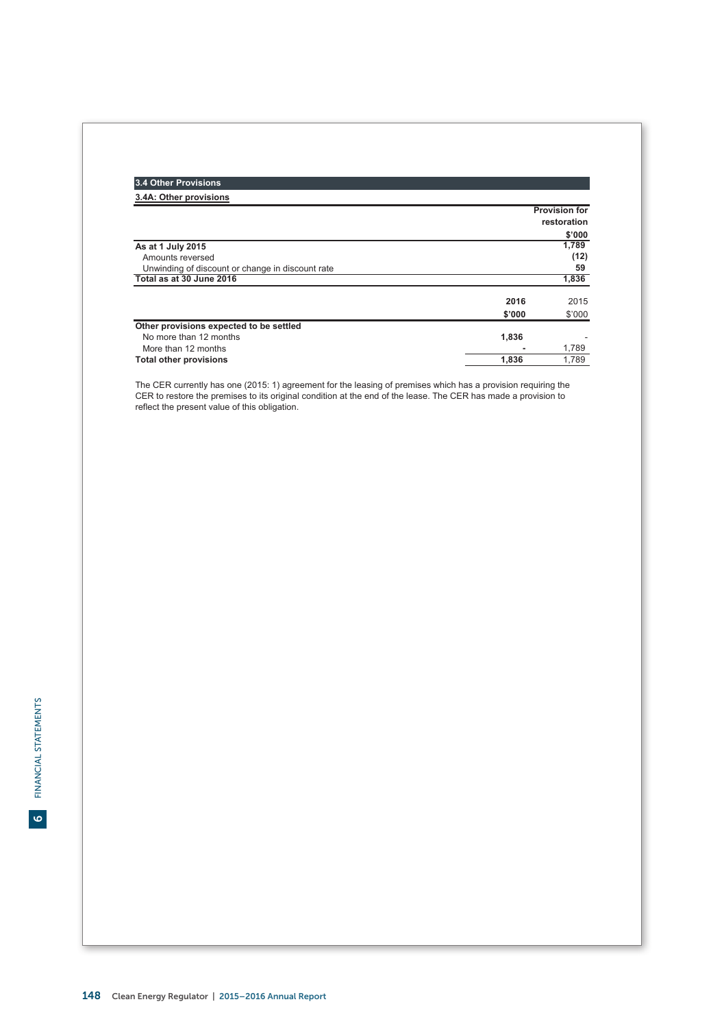| 3.4 Other Provisions                             |        |                                     |
|--------------------------------------------------|--------|-------------------------------------|
| 3.4A: Other provisions                           |        |                                     |
|                                                  |        | <b>Provision for</b><br>restoration |
|                                                  |        | \$'000                              |
| As at 1 July 2015                                |        | 1,789                               |
| Amounts reversed                                 |        | (12)                                |
| Unwinding of discount or change in discount rate |        | 59                                  |
| Total as at 30 June 2016                         |        | 1,836                               |
|                                                  | 2016   | 2015                                |
|                                                  | \$'000 | \$'000                              |
| Other provisions expected to be settled          |        |                                     |
| No more than 12 months                           | 1,836  |                                     |
| More than 12 months                              |        | 1.789                               |
| <b>Total other provisions</b>                    | 1.836  | 1.789                               |

The CER currently has one (2015: 1) agreement for the leasing of premises which has a provision requiring the<br>CER to restore the premises to its original condition at the end of the lease. The CER has made a provision to<br>r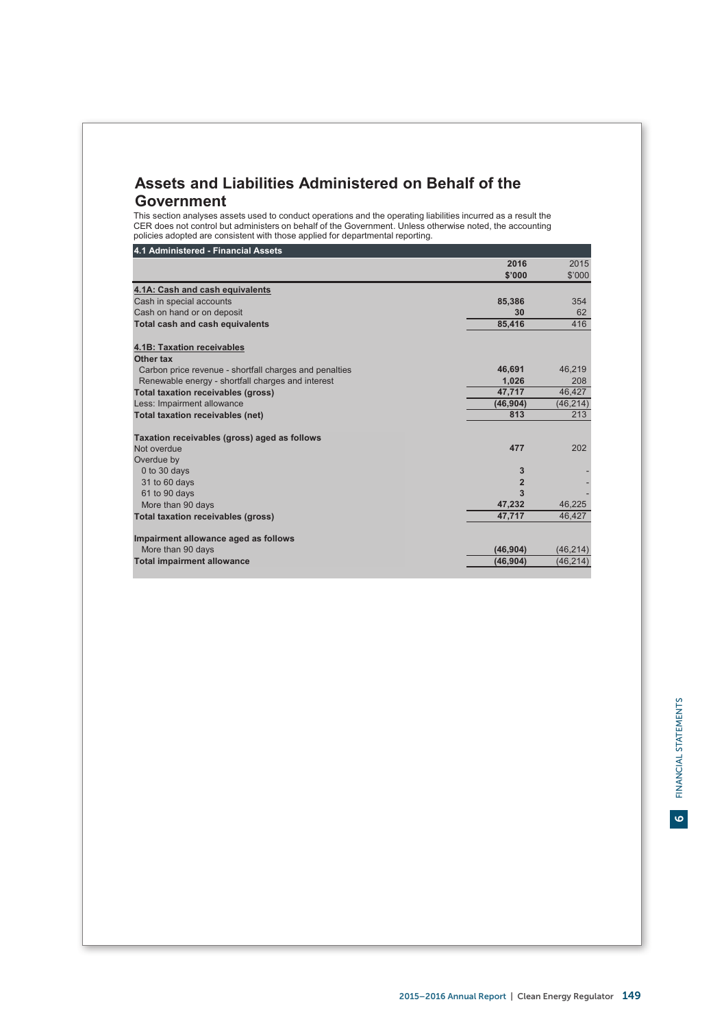# **Assets and Liabilities Administered on Behalf of the Government**

This section analyses assets used to conduct operations and the operating liabilities incurred as a result the CER does not control but administers on behalf of the Government. Unless otherwise noted, the accounting policies adopted are consistent with those applied for departmental reporting.

# **4.1 Administered - Financial Assets**

|                                                        | 2016           | 2015      |
|--------------------------------------------------------|----------------|-----------|
|                                                        | \$'000         | \$'000    |
| 4.1A: Cash and cash equivalents                        |                |           |
| Cash in special accounts                               | 85.386         | 354       |
| Cash on hand or on deposit                             | 30             | 62        |
| Total cash and cash equivalents                        | 85,416         | 416       |
| 4.1B: Taxation receivables                             |                |           |
| Other tax                                              |                |           |
| Carbon price revenue - shortfall charges and penalties | 46,691         | 46,219    |
| Renewable energy - shortfall charges and interest      | 1.026          | 208       |
| <b>Total taxation receivables (gross)</b>              | 47.717         | 46.427    |
| Less: Impairment allowance                             | (46, 904)      | (46, 214) |
| Total taxation receivables (net)                       | 813            | 213       |
| Taxation receivables (gross) aged as follows           |                |           |
| Not overdue                                            | 477            | 202       |
| Overdue by                                             |                |           |
| 0 to 30 days                                           | 3              |           |
| 31 to 60 days                                          | $\overline{2}$ |           |
| 61 to 90 days                                          | 3              |           |
| More than 90 days                                      | 47,232         | 46,225    |
| <b>Total taxation receivables (gross)</b>              | 47,717         | 46.427    |
| Impairment allowance aged as follows                   |                |           |
| More than 90 days                                      | (46, 904)      | (46, 214) |
| <b>Total impairment allowance</b>                      | (46.904)       | (46, 214) |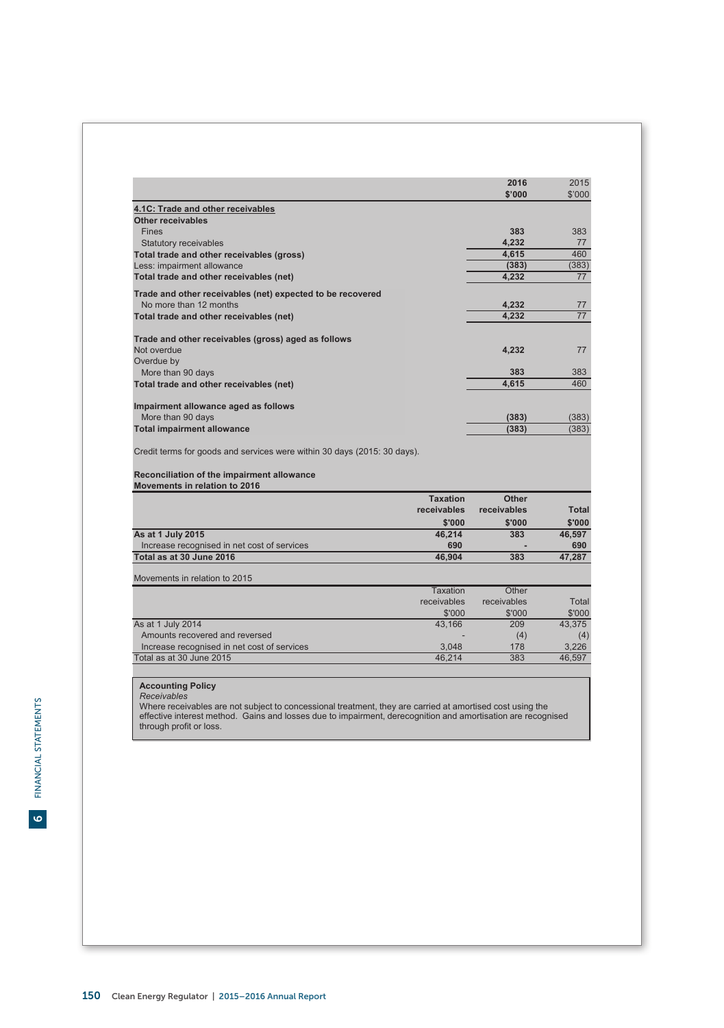|                                                                          |                 | 2016        | 2015         |
|--------------------------------------------------------------------------|-----------------|-------------|--------------|
|                                                                          |                 | \$'000      | \$'000       |
| 4.1C: Trade and other receivables                                        |                 |             |              |
| Other receivables                                                        |                 |             |              |
| <b>Fines</b>                                                             |                 | 383         | 383          |
| <b>Statutory receivables</b>                                             |                 | 4,232       | 77           |
| Total trade and other receivables (gross)                                |                 | 4,615       | 460          |
| Less: impairment allowance                                               |                 | (383)       | (383)        |
| Total trade and other receivables (net)                                  |                 | 4.232       | 77           |
| Trade and other receivables (net) expected to be recovered               |                 |             |              |
| No more than 12 months                                                   |                 | 4.232       | 77           |
| Total trade and other receivables (net)                                  |                 | 4.232       | 77           |
|                                                                          |                 |             |              |
| Trade and other receivables (gross) aged as follows                      |                 |             |              |
| Not overdue                                                              |                 | 4,232       | 77           |
| Overdue by                                                               |                 |             |              |
| More than 90 days                                                        |                 | 383         | 383          |
| Total trade and other receivables (net)                                  |                 | 4,615       | 460          |
| Impairment allowance aged as follows                                     |                 |             |              |
| More than 90 days                                                        |                 | (383)       | (383)        |
| <b>Total impairment allowance</b>                                        |                 | (383)       | (383)        |
| Credit terms for goods and services were within 30 days (2015: 30 days). |                 |             |              |
| Reconciliation of the impairment allowance                               |                 |             |              |
| Movements in relation to 2016                                            |                 |             |              |
|                                                                          | <b>Taxation</b> | Other       |              |
|                                                                          | receivables     | receivables | <b>Total</b> |
|                                                                          | \$'000          | \$'000      | \$'000       |
| As at 1 July 2015                                                        | 46,214          | 383         | 46,597       |
| Increase recognised in net cost of services                              | 690             |             | 690          |
| Total as at 30 June 2016                                                 | 46.904          | 383         | 47.287       |
| Movements in relation to 2015                                            |                 |             |              |
|                                                                          | <b>Taxation</b> | Other       |              |
|                                                                          | receivables     | receivables | Total        |
|                                                                          | \$'000          | \$'000      | \$'000       |
| As at 1 July 2014                                                        | 43,166          | 209         | 43.375       |
| Amounts recovered and reversed                                           |                 | (4)         | (4)          |
|                                                                          | 3,048           | 178         | 3.226        |
| Increase recognised in net cost of services<br>Total as at 30 June 2015  | 46.214          | 383         | 46.597       |

**Accounting Policy**<br>*Receivables*<br>Where receivables are not subject to concessional treatment, they are carried at amortised cost using the<br>effective interest method. Gains and losses due to impairment, derecognition and through profit or loss.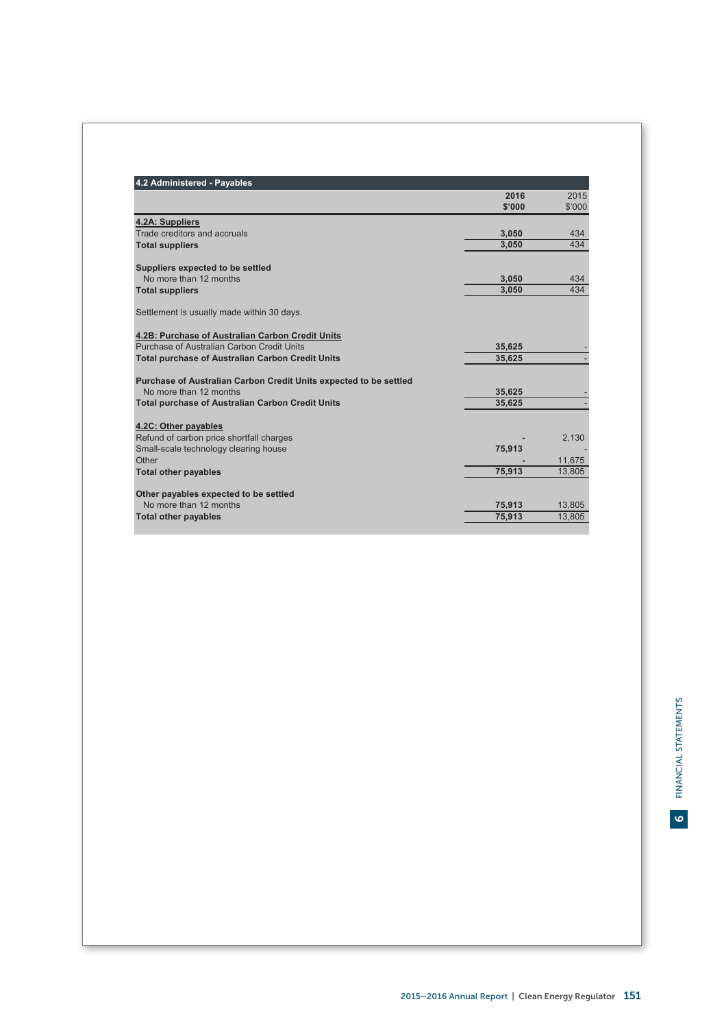| 4.2 Administered - Payables                                       |        |        |
|-------------------------------------------------------------------|--------|--------|
|                                                                   | 2016   | 2015   |
|                                                                   | \$'000 | \$'000 |
| 4.2A: Suppliers                                                   |        |        |
| Trade creditors and accruals                                      | 3.050  | 434    |
| <b>Total suppliers</b>                                            | 3.050  | 434    |
| Suppliers expected to be settled                                  |        |        |
| No more than 12 months                                            | 3.050  | 434    |
| <b>Total suppliers</b>                                            | 3.050  | 434    |
| Settlement is usually made within 30 days.                        |        |        |
| 4.2B: Purchase of Australian Carbon Credit Units                  |        |        |
| Purchase of Australian Carbon Credit Units                        | 35.625 |        |
| <b>Total purchase of Australian Carbon Credit Units</b>           | 35.625 |        |
| Purchase of Australian Carbon Credit Units expected to be settled |        |        |
| No more than 12 months                                            | 35.625 |        |
| <b>Total purchase of Australian Carbon Credit Units</b>           | 35,625 |        |
| 4.2C: Other payables                                              |        |        |
| Refund of carbon price shortfall charges                          |        | 2,130  |
| Small-scale technology clearing house                             | 75,913 |        |
| Other                                                             |        | 11,675 |
| <b>Total other payables</b>                                       | 75,913 | 13,805 |
| Other payables expected to be settled                             |        |        |
| No more than 12 months                                            | 75,913 | 13,805 |
| <b>Total other payables</b>                                       | 75,913 | 13,805 |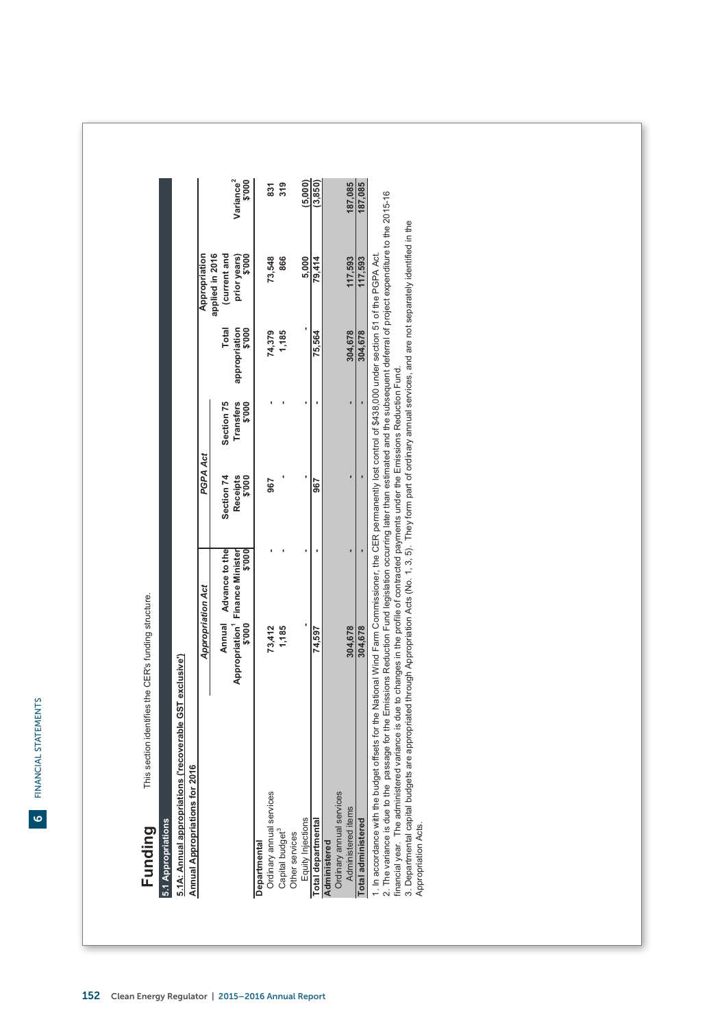| -<br>-<br>-<br>-<br>J<br>ミーこく<br>: |
|------------------------------------|
| ה<br>היה ההת                       |
| i<br><b>Service Service</b>        |
| I<br>L                             |

# 5.1 Appropriations **5.1 Appropriations**

5.1A: Annual appropriations ('recoverable GST exclusive') **5.1A: Annual appropriations ('recoverable GST exclusive')**

Applicate Appropriations for 2016

| Variance <sup>2</sup><br><b>900.\$</b><br>$\frac{319}{2}$<br>(5,000)<br>(3, 850)<br>187,085<br>187,085<br>37<br>applied in 2016<br>current and<br>prior years)<br>\$'000<br>79.414<br>117,593<br>73,548<br>866<br>5,000<br>117,593<br>Total<br>appropriation<br>\$'000<br>304,678<br>304,678<br>74,379<br>75.564<br>1,185<br><b>Transfers</b><br>Section 75<br>\$'000<br>Section 74<br>Receipts<br>900.\$<br>596<br>967<br>Annual Advance to the<br>\$000<br>Appropriation <sup>1</sup> Finance Minister<br>\$'000<br>73,412<br>1,185<br>304,678<br>304,678<br>74,597<br>Ordinary annual services<br>Ordinary annual services<br>Administered items<br>Equity Injections<br>otal administered<br>otal departmental<br>Capital budget <sup>3</sup><br>Other services<br>kdministered<br>Jepartmental |                    | Appropriation Act | PGPA Act |  | Appropriation |  |
|-----------------------------------------------------------------------------------------------------------------------------------------------------------------------------------------------------------------------------------------------------------------------------------------------------------------------------------------------------------------------------------------------------------------------------------------------------------------------------------------------------------------------------------------------------------------------------------------------------------------------------------------------------------------------------------------------------------------------------------------------------------------------------------------------------|--------------------|-------------------|----------|--|---------------|--|
|                                                                                                                                                                                                                                                                                                                                                                                                                                                                                                                                                                                                                                                                                                                                                                                                     |                    |                   |          |  |               |  |
|                                                                                                                                                                                                                                                                                                                                                                                                                                                                                                                                                                                                                                                                                                                                                                                                     |                    |                   |          |  |               |  |
|                                                                                                                                                                                                                                                                                                                                                                                                                                                                                                                                                                                                                                                                                                                                                                                                     |                    |                   |          |  |               |  |
|                                                                                                                                                                                                                                                                                                                                                                                                                                                                                                                                                                                                                                                                                                                                                                                                     |                    |                   |          |  |               |  |
|                                                                                                                                                                                                                                                                                                                                                                                                                                                                                                                                                                                                                                                                                                                                                                                                     |                    |                   |          |  |               |  |
|                                                                                                                                                                                                                                                                                                                                                                                                                                                                                                                                                                                                                                                                                                                                                                                                     |                    |                   |          |  |               |  |
|                                                                                                                                                                                                                                                                                                                                                                                                                                                                                                                                                                                                                                                                                                                                                                                                     |                    |                   |          |  |               |  |
|                                                                                                                                                                                                                                                                                                                                                                                                                                                                                                                                                                                                                                                                                                                                                                                                     |                    |                   |          |  |               |  |
|                                                                                                                                                                                                                                                                                                                                                                                                                                                                                                                                                                                                                                                                                                                                                                                                     |                    |                   |          |  |               |  |
|                                                                                                                                                                                                                                                                                                                                                                                                                                                                                                                                                                                                                                                                                                                                                                                                     |                    |                   |          |  |               |  |
|                                                                                                                                                                                                                                                                                                                                                                                                                                                                                                                                                                                                                                                                                                                                                                                                     |                    |                   |          |  |               |  |
|                                                                                                                                                                                                                                                                                                                                                                                                                                                                                                                                                                                                                                                                                                                                                                                                     |                    |                   |          |  |               |  |
|                                                                                                                                                                                                                                                                                                                                                                                                                                                                                                                                                                                                                                                                                                                                                                                                     |                    |                   |          |  |               |  |
|                                                                                                                                                                                                                                                                                                                                                                                                                                                                                                                                                                                                                                                                                                                                                                                                     |                    |                   |          |  |               |  |
| . In accordance with the budget offsets for the National Wind Farm Commissioner, the CER permanently lost control of \$438,000 under section 51 of the PGPA Act                                                                                                                                                                                                                                                                                                                                                                                                                                                                                                                                                                                                                                     |                    |                   |          |  |               |  |
| . The variance is due to the passage for the Emissions Reduction Fund legislation occurring later than estimated and the subsequent deferral of project expenditure to the 2015-16<br>financial year. The administered variance is due to changes in the profile of contracted payments under the Emissions Reduction Fund.                                                                                                                                                                                                                                                                                                                                                                                                                                                                         |                    |                   |          |  |               |  |
| 3. Departmental capital budgets are appropriated through Appropriation Acts (No. 1, 3, 5). They form part of ordinary annual services, and are not separately identified in the                                                                                                                                                                                                                                                                                                                                                                                                                                                                                                                                                                                                                     | Appropriation Acts |                   |          |  |               |  |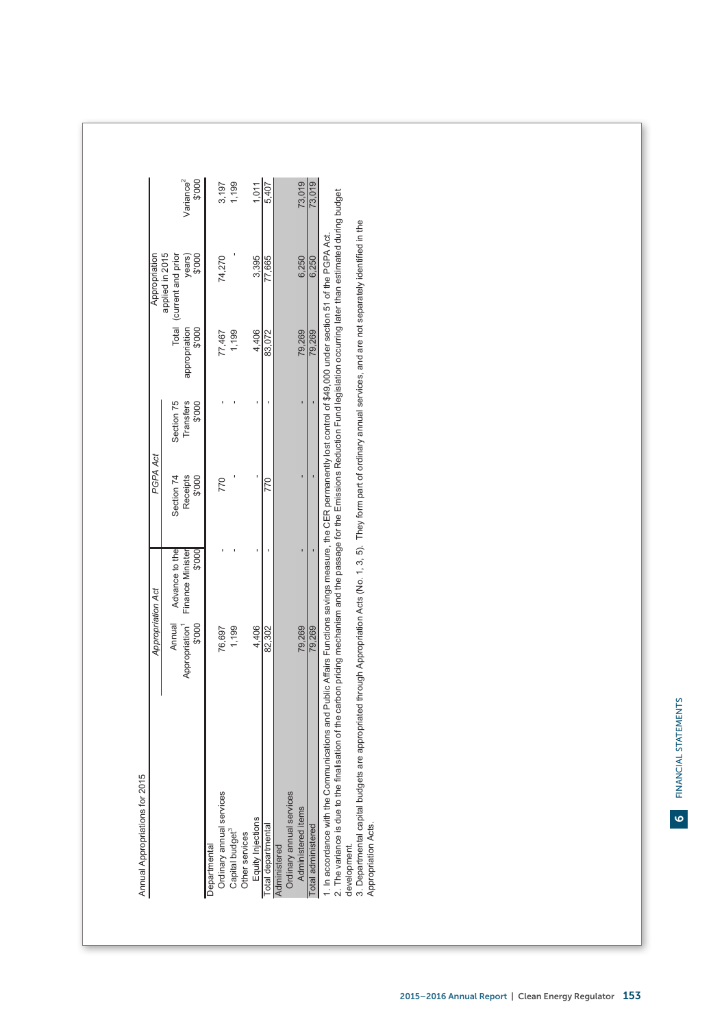| Variance <sup>2</sup><br>\$'000<br>1,199<br>73,019<br>73,019<br>3,197<br>1,011<br>5,407<br>1. In accordance with the Communications and Public Affairs Functions savings measure, the CER permanently lost control of \$49,000 under section 51 of the PGPA Act.<br>applied in 2015<br>Total (current and prior<br>\$'000<br>years)<br>74,270<br>3,395<br>77,665<br>6,250<br>6,250<br>\$'000<br>appropriation<br>79,269<br>1,199<br>4,406<br>83,072<br>79,269<br>77,467<br>ï<br>ı<br>Section 75<br>Transfers<br>\$'000<br>×<br>Receipts<br>\$'000<br>Section 74<br>770<br>770<br>t<br>ı<br>Advance to the<br>\$'000<br>Finance Minister<br>Appropriation Act<br>\$'000<br>Annual<br>Appropriation <sup>1</sup><br>4,406<br>79,269<br>1,199<br>82,302<br>79,269<br>76,697<br>Ordinary annual services<br>Ordinary annual services<br>Administered items<br>Equity Injections<br>Total departmental<br>Total administered<br>Capital budget <sup>3</sup><br>Other services<br>Departmental<br>Administered |
|----------------------------------------------------------------------------------------------------------------------------------------------------------------------------------------------------------------------------------------------------------------------------------------------------------------------------------------------------------------------------------------------------------------------------------------------------------------------------------------------------------------------------------------------------------------------------------------------------------------------------------------------------------------------------------------------------------------------------------------------------------------------------------------------------------------------------------------------------------------------------------------------------------------------------------------------------------------------------------------------------------|
|                                                                                                                                                                                                                                                                                                                                                                                                                                                                                                                                                                                                                                                                                                                                                                                                                                                                                                                                                                                                          |
|                                                                                                                                                                                                                                                                                                                                                                                                                                                                                                                                                                                                                                                                                                                                                                                                                                                                                                                                                                                                          |
|                                                                                                                                                                                                                                                                                                                                                                                                                                                                                                                                                                                                                                                                                                                                                                                                                                                                                                                                                                                                          |
|                                                                                                                                                                                                                                                                                                                                                                                                                                                                                                                                                                                                                                                                                                                                                                                                                                                                                                                                                                                                          |
|                                                                                                                                                                                                                                                                                                                                                                                                                                                                                                                                                                                                                                                                                                                                                                                                                                                                                                                                                                                                          |
|                                                                                                                                                                                                                                                                                                                                                                                                                                                                                                                                                                                                                                                                                                                                                                                                                                                                                                                                                                                                          |
|                                                                                                                                                                                                                                                                                                                                                                                                                                                                                                                                                                                                                                                                                                                                                                                                                                                                                                                                                                                                          |
|                                                                                                                                                                                                                                                                                                                                                                                                                                                                                                                                                                                                                                                                                                                                                                                                                                                                                                                                                                                                          |
|                                                                                                                                                                                                                                                                                                                                                                                                                                                                                                                                                                                                                                                                                                                                                                                                                                                                                                                                                                                                          |
|                                                                                                                                                                                                                                                                                                                                                                                                                                                                                                                                                                                                                                                                                                                                                                                                                                                                                                                                                                                                          |
| finalisation of the carbon pricing mechanism and the passage for the Emissions Reduction Fund legislation occurring later than estimated during budget<br>3. Departmental capital budgets are appropriated through Appropriation Acts (No. 1, 3, 5). They form part of ordinary annual services, and are not separately identified in the<br>2. The variance is due to the<br>Appropriation Acts.<br>development.                                                                                                                                                                                                                                                                                                                                                                                                                                                                                                                                                                                        |
|                                                                                                                                                                                                                                                                                                                                                                                                                                                                                                                                                                                                                                                                                                                                                                                                                                                                                                                                                                                                          |

 $\Gamma$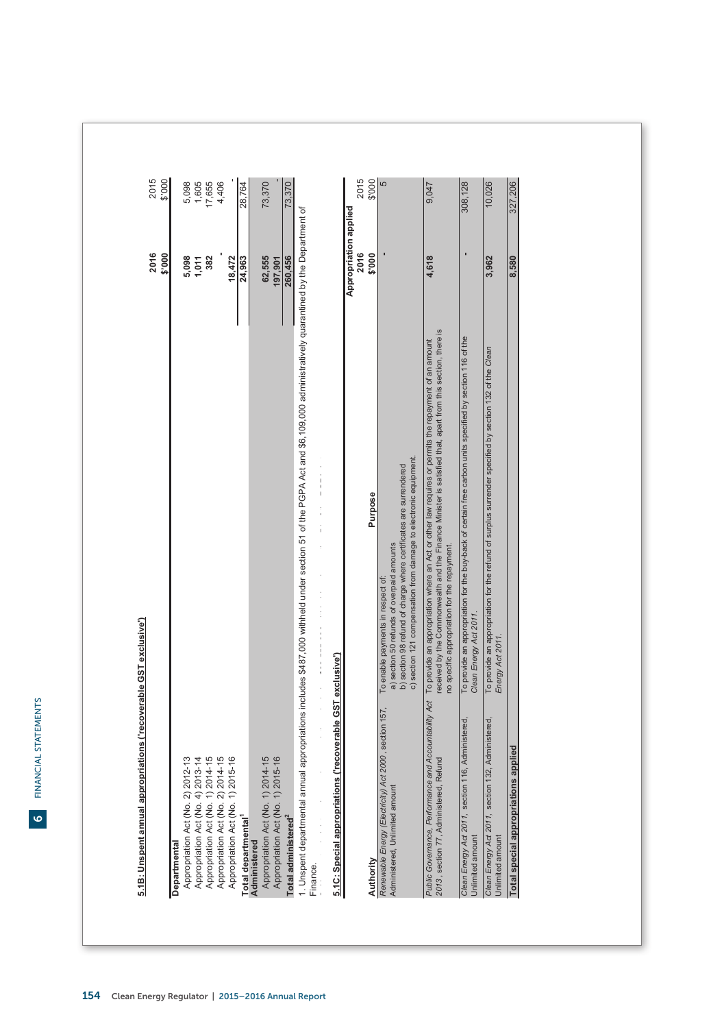|                                                                                                    |                                                                                                                                                                                                                                                                    | 2016<br>\$'000                | 2015<br>\$'000 |
|----------------------------------------------------------------------------------------------------|--------------------------------------------------------------------------------------------------------------------------------------------------------------------------------------------------------------------------------------------------------------------|-------------------------------|----------------|
| Departmental                                                                                       |                                                                                                                                                                                                                                                                    |                               |                |
|                                                                                                    |                                                                                                                                                                                                                                                                    |                               |                |
| Appropriation Act (No. 2) 2012-13                                                                  |                                                                                                                                                                                                                                                                    | 5,098                         |                |
| Appropriation Act (No. 4) 2013-14                                                                  |                                                                                                                                                                                                                                                                    | 1,011                         | 5,098<br>1,605 |
| Appropriation Act (No. 1) 2014-15                                                                  |                                                                                                                                                                                                                                                                    | 382                           | 17,655         |
|                                                                                                    |                                                                                                                                                                                                                                                                    |                               |                |
| Appropriation Act (No. 2) 2014-15                                                                  |                                                                                                                                                                                                                                                                    |                               | 4,406          |
| Appropriation Act (No. 1) 2015-16                                                                  |                                                                                                                                                                                                                                                                    | 18,472                        |                |
| Total departmental <sup>1</sup>                                                                    |                                                                                                                                                                                                                                                                    | 24,963                        | 28,764         |
|                                                                                                    |                                                                                                                                                                                                                                                                    |                               |                |
| Administered                                                                                       |                                                                                                                                                                                                                                                                    |                               |                |
| Appropriation Act (No. 1) 2014-15                                                                  |                                                                                                                                                                                                                                                                    | 62,555                        | 73,370         |
| Appropriation Act (No. 1) 2015-16                                                                  |                                                                                                                                                                                                                                                                    | 197,901                       |                |
| Total administered <sup>2</sup>                                                                    |                                                                                                                                                                                                                                                                    | 260,456                       | 73,370         |
| 1. Unspent departmental ann<br>Finance.                                                            | ual appropriations includes \$487,000 withheld under section 51 of the PGPA Act and \$6,109,000 administratively quarantined by the Department of                                                                                                                  |                               |                |
| is ('recoverable GST exclusive')<br>5.1C: Special appropriation                                    | $\mathsf I$<br>$\frac{1}{4}$                                                                                                                                                                                                                                       |                               |                |
|                                                                                                    |                                                                                                                                                                                                                                                                    | Appropriation applied<br>2016 | 2015           |
| Authority                                                                                          | Purpose                                                                                                                                                                                                                                                            | \$'000                        | \$'000         |
|                                                                                                    |                                                                                                                                                                                                                                                                    |                               |                |
| lct 2000, section 157<br>Renewable Energy (Electricity) A<br>Administered, Unlimited amount        | c) section 121 compensation from damage to electronic equipment.<br>a) section 50 refunds of overpaid amounts<br>b) section 98 refund of charge where certificates are surrendered<br>To enable payments in respect of:                                            |                               | 40             |
| Public Governance, Performance and Accountability Act<br>Refund<br>2013, section 77, Administered, | received by the Commonwealth and the Finance Minister is satisfied that, apart from this section, there is<br>To provide an appropriation where an Act or other law requires or permits the repayment of an amount<br>no specific appropriation for the repayment. | 4,618                         | 9,047          |
| 116, Administered<br>Clean Energy Act 2011, section<br>Unlimited amount                            | To provide an appropriation for the buy-back of certain free carbon units specified by section 116 of the<br>Clean Energy Act 2011.                                                                                                                                | ı                             | 308,128        |
| 132, Administered<br>Clean Energy Act 2011, section<br>Unlimited amount                            | To provide an appropriation for the refund of surplus surrender specified by section 132 of the Clean<br>Energy Act 2011.                                                                                                                                          | 3,962                         | 10,026         |
| is applied<br>Total special appropriation                                                          |                                                                                                                                                                                                                                                                    | 8,580                         | 327,206        |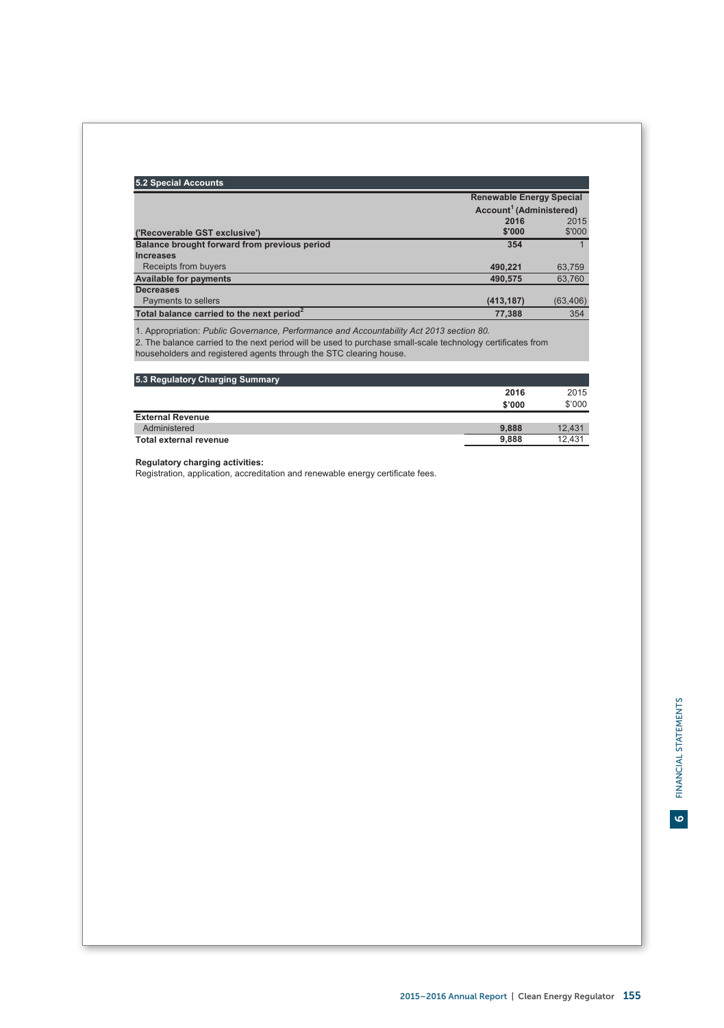| 5.2 Special Accounts                                  |                                     |           |
|-------------------------------------------------------|-------------------------------------|-----------|
|                                                       | <b>Renewable Energy Special</b>     |           |
|                                                       | Account <sup>1</sup> (Administered) |           |
|                                                       | 2016                                | 2015      |
| ('Recoverable GST exclusive')                         | \$'000                              | \$'000    |
| Balance brought forward from previous period          | 354                                 |           |
| <b>Increases</b>                                      |                                     |           |
| Receipts from buyers                                  | 490.221                             | 63,759    |
| <b>Available for payments</b>                         | 490,575                             | 63,760    |
| <b>Decreases</b>                                      |                                     |           |
| Payments to sellers                                   | (413, 187)                          | (63, 406) |
| Total balance carried to the next period <sup>2</sup> | 77.388                              | 354       |

1. Appropriation: *Public Governance, Performance and Accountability Act 2013 section 80.*

2. The balance carried to the next period will be used to purchase small-scale technology certificates from householders and registered agents through the STC clearing house.

| 5.3 Regulatory Charging Summary |        |        |
|---------------------------------|--------|--------|
|                                 | 2016   | 2015   |
|                                 | \$'000 | \$'000 |
| <b>External Revenue</b>         |        |        |
| Administered                    | 9.888  | 12.431 |
| <b>Total external revenue</b>   | 9.888  | 12.431 |

**Regulatory charging activities:**

Registration, application, accreditation and renewable energy certificate fees.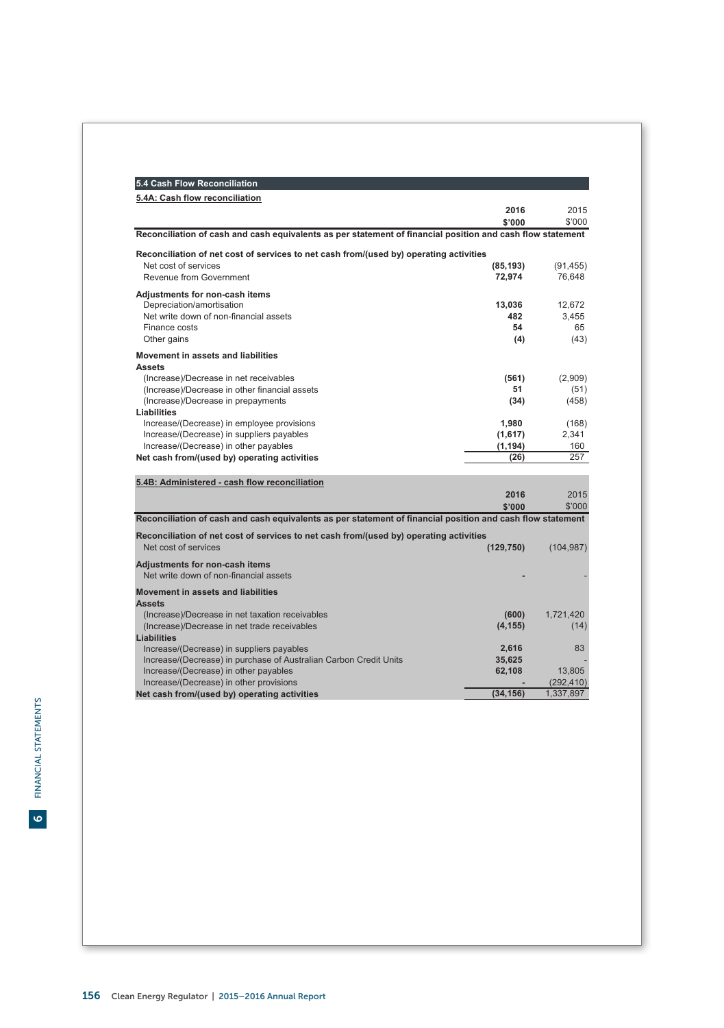| 5.4 Cash Flow Reconciliation                                                                               |            |            |
|------------------------------------------------------------------------------------------------------------|------------|------------|
| 5.4A: Cash flow reconciliation                                                                             |            |            |
|                                                                                                            | 2016       | 2015       |
|                                                                                                            | \$'000     | \$'000     |
| Reconciliation of cash and cash equivalents as per statement of financial position and cash flow statement |            |            |
| Reconciliation of net cost of services to net cash from/(used by) operating activities                     |            |            |
| Net cost of services                                                                                       | (85, 193)  | (91, 455)  |
| Revenue from Government                                                                                    | 72,974     | 76,648     |
| Adjustments for non-cash items                                                                             |            |            |
| Depreciation/amortisation                                                                                  | 13,036     | 12,672     |
| Net write down of non-financial assets                                                                     | 482        | 3,455      |
| Finance costs                                                                                              | 54         | 65         |
| Other gains                                                                                                | (4)        | (43)       |
| Movement in assets and liabilities                                                                         |            |            |
| <b>Assets</b>                                                                                              |            |            |
| (Increase)/Decrease in net receivables                                                                     | (561)      | (2,909)    |
| (Increase)/Decrease in other financial assets                                                              | 51         | (51)       |
| (Increase)/Decrease in prepayments                                                                         | (34)       | (458)      |
| Liabilities                                                                                                |            |            |
| Increase/(Decrease) in employee provisions                                                                 | 1,980      | (168)      |
| Increase/(Decrease) in suppliers payables                                                                  | (1,617)    | 2.341      |
| Increase/(Decrease) in other payables                                                                      | (1, 194)   | 160        |
| Net cash from/(used by) operating activities                                                               | (26)       | 257        |
| 5.4B: Administered - cash flow reconciliation                                                              |            |            |
|                                                                                                            | 2016       | 2015       |
|                                                                                                            | \$'000     | \$'000     |
| Reconciliation of cash and cash equivalents as per statement of financial position and cash flow statement |            |            |
|                                                                                                            |            |            |
| Reconciliation of net cost of services to net cash from/(used by) operating activities                     |            |            |
| Net cost of services                                                                                       | (129, 750) | (104, 987) |
| Adjustments for non-cash items                                                                             |            |            |
| Net write down of non-financial assets                                                                     |            |            |
| Movement in assets and liabilities                                                                         |            |            |
| <b>Assets</b>                                                                                              |            |            |
| (Increase)/Decrease in net taxation receivables                                                            | (600)      | 1,721,420  |
| (Increase)/Decrease in net trade receivables                                                               | (4, 155)   | (14)       |
| <b>Liabilities</b>                                                                                         |            |            |
| Increase/(Decrease) in suppliers payables                                                                  | 2,616      | 83         |
| Increase/(Decrease) in purchase of Australian Carbon Credit Units                                          | 35,625     |            |
| Increase/(Decrease) in other payables                                                                      | 62,108     | 13,805     |
| Increase/(Decrease) in other provisions                                                                    |            | (292, 410) |
| Net cash from/(used by) operating activities                                                               | (34, 156)  | 1,337,897  |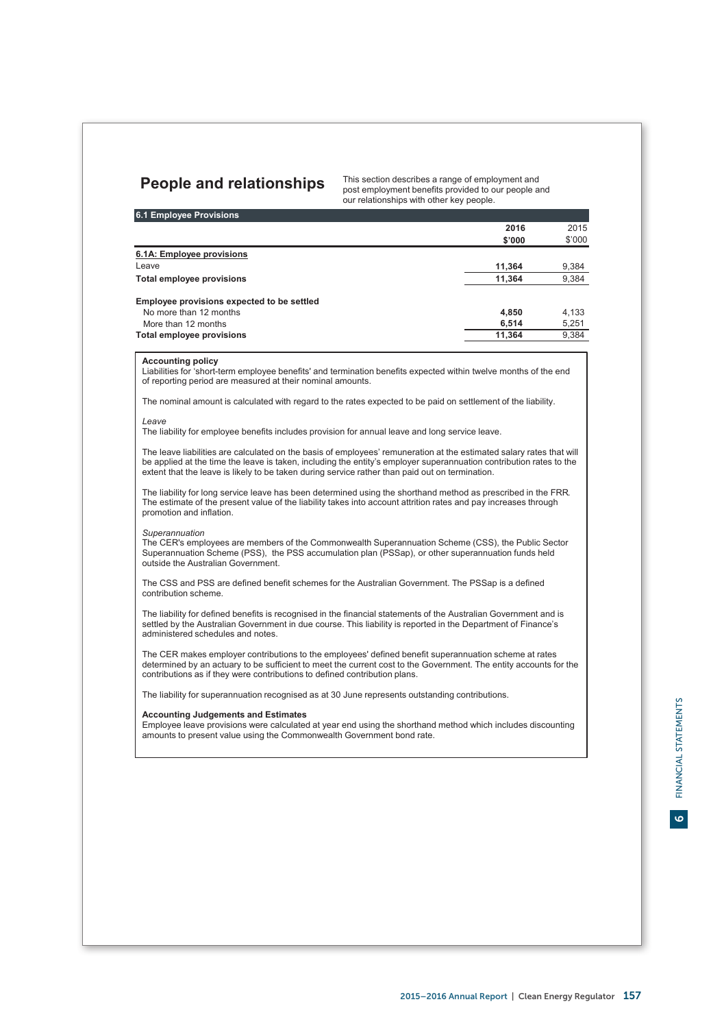# **People and relationships** This section describes a range of employment and

post employment benefits provided to our people and our relationships with other key people.

| <b>6.1 Employee Provisions</b>             |        |        |
|--------------------------------------------|--------|--------|
|                                            | 2016   | 2015   |
|                                            | \$'000 | \$'000 |
| 6.1A: Employee provisions                  |        |        |
| Leave                                      | 11.364 | 9,384  |
| Total employee provisions                  | 11.364 | 9,384  |
| Employee provisions expected to be settled |        |        |
| No more than 12 months                     | 4.850  | 4.133  |
| More than 12 months                        | 6.514  | 5,251  |
| Total employee provisions                  | 11.364 | 9.384  |

## **Accounting policy**

Liabilities for 'short-term employee benefits' and termination benefits expected within twelve months of the end of reporting period are measured at their nominal amounts.

The nominal amount is calculated with regard to the rates expected to be paid on settlement of the liability.

# *Leave*

The liability for employee benefits includes provision for annual leave and long service leave.

The leave liabilities are calculated on the basis of employees' remuneration at the estimated salary rates that will be applied at the time the leave is taken, including the entity's employer superannuation contribution rates to the extent that the leave is likely to be taken during service rather than paid out on termination.

The liability for long service leave has been determined using the shorthand method as prescribed in the FRR. The estimate of the present value of the liability takes into account attrition rates and pay increases through promotion and inflation.

### *Superannuation*

AASB 119.138-144 & 147

The CER's employees are members of the Commonwealth Superannuation Scheme (CSS), the Public Sector Superannuation Scheme (PSS), the PSS accumulation plan (PSSap), or other superannuation funds held outside the Australian Government.

The CSS and PSS are defined benefit schemes for the Australian Government. The PSSap is a defined contribution scheme.

The liability for defined benefits is recognised in the financial statements of the Australian Government and is settled by the Australian Government in due course. This liability is reported in the Department of Finance's administered schedules and notes.

The CER makes employer contributions to the employees' defined benefit superannuation scheme at rates determined by an actuary to be sufficient to meet the current cost to the Government. The entity accounts for the contributions as if they were contributions to defined contribution plans.

The liability for superannuation recognised as at 30 June represents outstanding contributions.

# **Accounting Judgements and Estimates**

Employee leave provisions were calculated at year end using the shorthand method which includes discounting amounts to present value using the Commonwealth Government bond rate.

 $\bullet$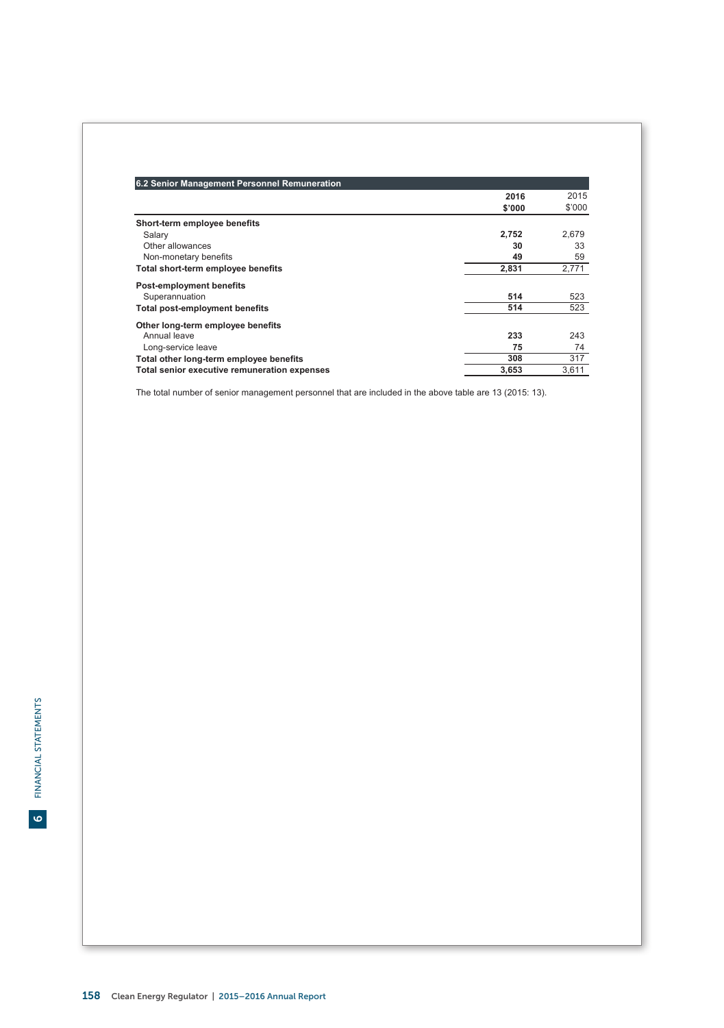| 6.2 Senior Management Personnel Remuneration |        |        |
|----------------------------------------------|--------|--------|
|                                              | 2016   | 2015   |
|                                              | \$'000 | \$'000 |
| Short-term employee benefits                 |        |        |
| Salary                                       | 2,752  | 2,679  |
| Other allowances                             | 30     | 33     |
| Non-monetary benefits                        | 49     | 59     |
| Total short-term employee benefits           | 2.831  | 2,771  |
| <b>Post-employment benefits</b>              |        |        |
| Superannuation                               | 514    | 523    |
| Total post-employment benefits               | 514    | 523    |
| Other long-term employee benefits            |        |        |
| Annual leave                                 | 233    | 243    |
| Long-service leave                           | 75     | 74     |
| Total other long-term employee benefits      | 308    | 317    |
| Total senior executive remuneration expenses | 3,653  | 3,611  |

The total number of senior management personnel that are included in the above table are 13 (2015: 13).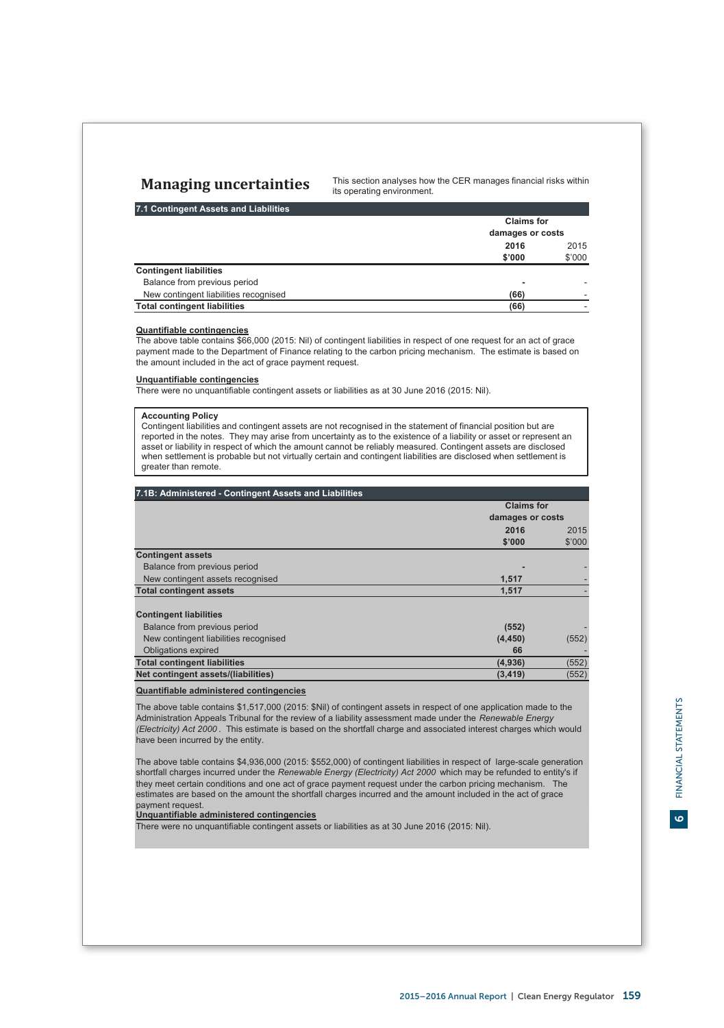# **Managing uncertainties**

This section analyses how the CER manages financial risks within its operating environment.

# **7.1 Contingent Assets and Liabilities**

|                                       |                  | <b>Claims for</b> |  |
|---------------------------------------|------------------|-------------------|--|
|                                       | damages or costs |                   |  |
|                                       | 2016             | 2015              |  |
|                                       | \$'000           | \$'000            |  |
| <b>Contingent liabilities</b>         |                  |                   |  |
| Balance from previous period          |                  |                   |  |
| New contingent liabilities recognised | (66)             |                   |  |
| <b>Total contingent liabilities</b>   | (66)             |                   |  |

# **Quantifiable contingencies**

The above table contains \$66,000 (2015: Nil) of contingent liabilities in respect of one request for an act of grace payment made to the Department of Finance relating to the carbon pricing mechanism. The estimate is based on the amount included in the act of grace payment request.

# **Unquantifiable contingencies**

There were no unquantifiable contingent assets or liabilities as at 30 June 2016 (2015: Nil).

# **Accounting Policy**

Contingent liabilities and contingent assets are not recognised in the statement of financial position but are reported in the notes. They may arise from uncertainty as to the existence of a liability or asset or represent an asset or liability in respect of which the amount cannot be reliably measured. Contingent assets are disclosed when settlement is probable but not virtually certain and contingent liabilities are disclosed when settlement is greater than remote.

| 7.1B: Administered - Contingent Assets and Liabilities |                   |        |
|--------------------------------------------------------|-------------------|--------|
|                                                        | <b>Claims for</b> |        |
|                                                        | damages or costs  |        |
|                                                        | 2016              | 2015   |
|                                                        | \$'000            | \$'000 |
| <b>Contingent assets</b>                               |                   |        |
| Balance from previous period                           |                   |        |
| New contingent assets recognised                       | 1,517             |        |
| <b>Total contingent assets</b>                         | 1,517             |        |
| <b>Contingent liabilities</b>                          |                   |        |
| Balance from previous period                           | (552)             |        |
| New contingent liabilities recognised                  | (4, 450)          | (552)  |
| <b>Obligations expired</b>                             | 66                |        |
| <b>Total contingent liabilities</b>                    | (4,936)           | (552)  |
| Net contingent assets/(liabilities)                    | (3, 419)          | (552)  |

# **Quantifiable administered contingencies**

The above table contains \$1,517,000 (2015: \$Nil) of contingent assets in respect of one application made to the Administration Appeals Tribunal for the review of a liability assessment made under the *Renewable Energy (Electricity) Act 2000* . This estimate is based on the shortfall charge and associated interest charges which would have been incurred by the entity.

The above table contains \$4,936,000 (2015: \$552,000) of contingent liabilities in respect of large-scale generation shortfall charges incurred under the *Renewable Energy (Electricity) Act 2000* which may be refunded to entity's if they meet certain conditions and one act of grace payment request under the carbon pricing mechanism. The estimates are based on the amount the shortfall charges incurred and the amount included in the act of grace payment request.

# **Unquantifiable administered contingencies**

There were no unquantifiable contingent assets or liabilities as at 30 June 2016 (2015: Nil).

 $\bullet$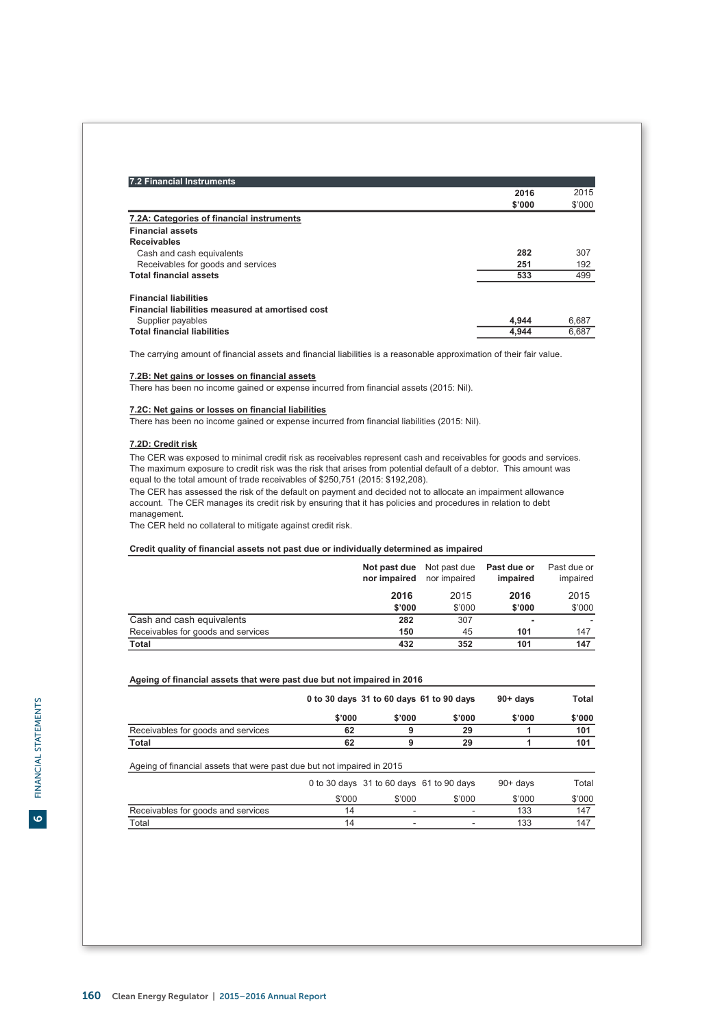| 7.2 Financial Instruments                        |        |        |
|--------------------------------------------------|--------|--------|
|                                                  | 2016   | 2015   |
|                                                  | \$'000 | \$'000 |
| 7.2A: Categories of financial instruments        |        |        |
| <b>Financial assets</b>                          |        |        |
| <b>Receivables</b>                               |        |        |
| Cash and cash equivalents                        | 282    | 307    |
| Receivables for goods and services               | 251    | 192    |
| <b>Total financial assets</b>                    | 533    | 499    |
| <b>Financial liabilities</b>                     |        |        |
| Financial liabilities measured at amortised cost |        |        |
| Supplier payables                                | 4.944  | 6,687  |
| <b>Total financial liabilities</b>               | 4.944  | 6.687  |

The carrying amount of financial assets and financial liabilities is a reasonable approximation of their fair value.

# **7.2B: Net gains or losses on financial assets**

There has been no income gained or expense incurred from financial assets (2015: Nil).

# **7.2C: Net gains or losses on financial liabilities**

There has been no income gained or expense incurred from financial liabilities (2015: Nil).

# **7.2D: Credit risk**

The CER was exposed to minimal credit risk as receivables represent cash and receivables for goods and services. The maximum exposure to credit risk was the risk that arises from potential default of a debtor. This amount was equal to the total amount of trade receivables of \$250,751 (2015: \$192,208).

The CER has assessed the risk of the default on payment and decided not to allocate an impairment allowance account. The CER manages its credit risk by ensuring that it has policies and procedures in relation to debt management.

The CER held no collateral to mitigate against credit risk.

# **Credit quality of financial assets not past due or individually determined as impaired**

|                                    | Not past due<br>nor impaired | Not past due<br>nor impaired | Past due or<br>impaired | Past due or<br>impaired |
|------------------------------------|------------------------------|------------------------------|-------------------------|-------------------------|
|                                    | 2016                         | 2015                         | 2016                    | 2015                    |
|                                    | \$'000                       | \$'000                       | \$'000                  | \$'000                  |
| Cash and cash equivalents          | 282                          | 307                          |                         |                         |
| Receivables for goods and services | 150                          | 45                           | 101                     | 147                     |
| Total                              | 432                          | 352                          | 101                     | 147                     |

# **Ageing of financial assets that were past due but not impaired in 2016**

|                                    | 0 to 30 days 31 to 60 days 61 to 90 days |        |        | 90+ davs | Total  |
|------------------------------------|------------------------------------------|--------|--------|----------|--------|
|                                    | \$'000                                   | \$'000 | \$'000 | \$'000   | \$'000 |
| Receivables for goods and services | 62                                       |        | 29     |          | 101    |
| Total                              | 62                                       |        | 29     |          | 101    |

Ageing of financial assets that were past due but not impaired in 2015

|                                    |        |                          | 0 to 30 days 31 to 60 days 61 to 90 days | $90+$ davs | Total  |
|------------------------------------|--------|--------------------------|------------------------------------------|------------|--------|
|                                    | \$'000 | \$'000                   | \$'000                                   | \$'000     | \$'000 |
| Receivables for goods and services | 14     |                          | ۰                                        | 133        | 147    |
| Total                              | 14     | $\overline{\phantom{a}}$ | ۰                                        | 133        | 147    |

 $\bullet$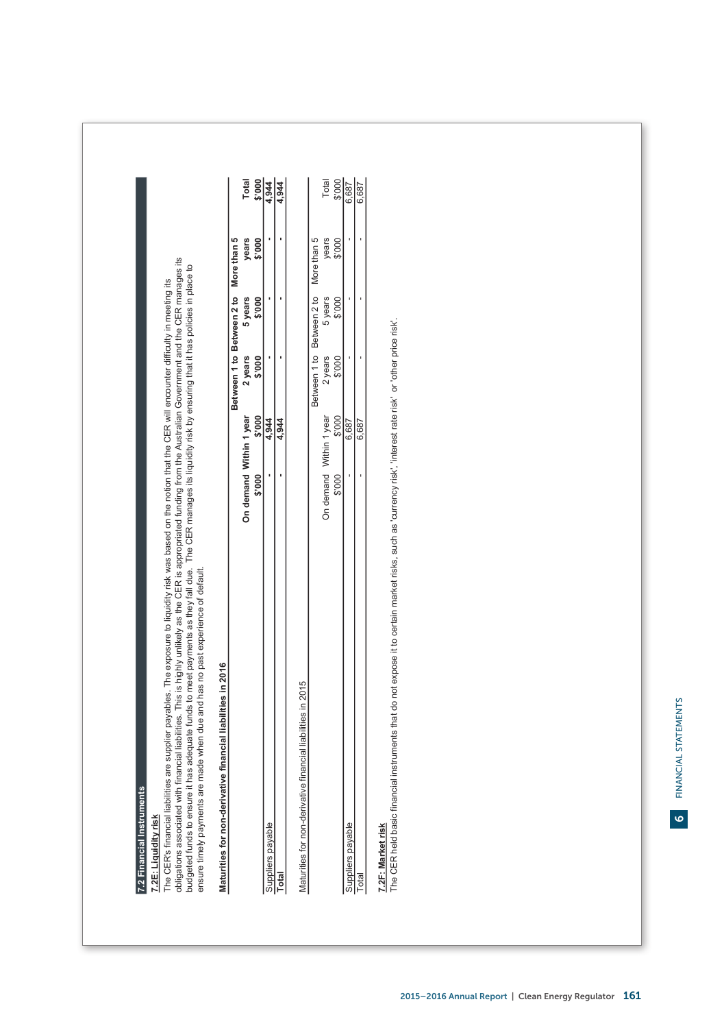7.2 Financial Instruments **7.2 Financial Instruments**

7.2E: Liquidity risk **7.2E: Liquidity risk**

The CER's financial liabilities are supplier payables. The exposure to liquidity risk was based on the notion that the CER will encounter difficulty in meeting its<br>obligations associated with financial liabilities. This is obligations associated with financial liabilities. This is highly unlikely as the CER is appropriated funding from the Australian Government and the CER manages its budgeted funds to ensure it has adequate funds to meet payments as they fall due. The CER manages its liquidity risk by ensuring that it has policies in place to The CER's financial liabilities are supplier payables. The exposure to liquidity risk was based on the notion that the CER will encounter difficulty in meeting its ensure timely payments are made when due and has no past experience of default. ensure timely payments are made when due and has no past experience of default.

# Maturities for non-derivative financial liabilities in 2016 **Maturities for non-derivative financial liabilities in 2016**

|       |                    |        | Between 1 to Between 2 to More than 5 |         |       |             |
|-------|--------------------|--------|---------------------------------------|---------|-------|-------------|
|       | In demand Within 1 | T year | 2 years                               | 5 years | vears | Total       |
|       | $\frac{1}{2}$      |        | $\frac{0}{2}$                         | ទី      | 000   | $rac{1}{2}$ |
| Ed si |                    | 344    |                                       |         |       |             |
|       |                    | 344    |                                       |         |       | 344         |
|       |                    |        |                                       |         |       |             |

Maturities for non-derivative financial liabilities in 2015 Maturities for non-derivative financial liabilities in 2015

|               |         | .687         |             | otal |
|---------------|---------|--------------|-------------|------|
|               |         | 68           |             |      |
| $\frac{8}{1}$ | į       |              |             |      |
| years         |         |              | man<br>í    |      |
| veen          | aetween |              |             |      |
|               |         | years<br>000 | rear<br>000 | 000  |

# **7.2F: Market risk**

<u>7.2F: Market risk</u><br>The CER held basic financial instruments that do not expose it to certain market risks, such as 'currency risk', 'interest rate risk' or 'other price risk'. The CER held basic financial instruments that do not expose it to certain market risks, such as 'currency risk', 'interest rate risk' or 'other price risk'.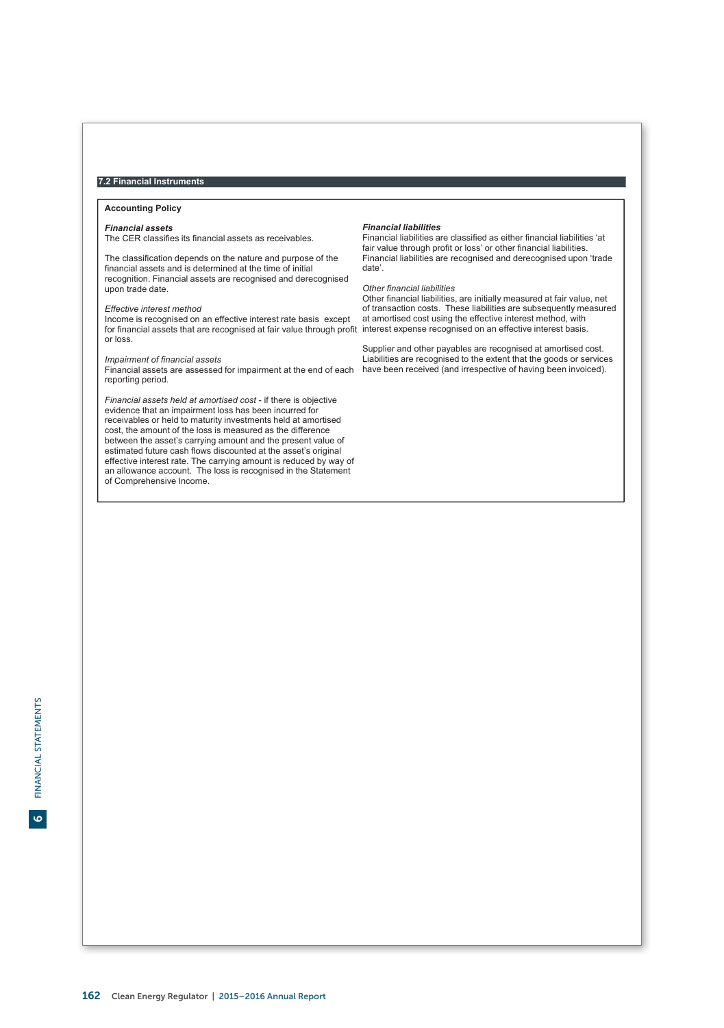# **7.2 Financial Instruments**

# **Accounting Policy**

# *Financial assets*

The CER classifies its financial assets as receivables.

The classification depends on the nature and purpose of the financial assets and is determined at the time of initial recognition. Financial assets are recognised and derecognised upon trade date.

# *Effective interest method*

Income is recognised on an effective interest rate basis except for financial assets that are recognised at fair value through profit interest expense recognised on an effective interest basis. or loss.

## *Impairment of financial assets*

Financial assets are assessed for impairment at the end of each have been received (and irrespective of having been invoiced).reporting period.

*Financial assets held at amortised cost* - if there is objective evidence that an impairment loss has been incurred for receivables or held to maturity investments held at amortised cost, the amount of the loss is measured as the difference between the asset's carrying amount and the present value of estimated future cash flows discounted at the asset's original effective interest rate. The carrying amount is reduced by way of an allowance account. The loss is recognised in the Statement of Comprehensive Income.

## *Financial liabilities*

Financial liabilities are classified as either financial liabilities 'at fair value through profit or loss' or other financial liabilities. Financial liabilities are recognised and derecognised upon 'trade date'.

# *Other financial liabilities*

Other financial liabilities, are initially measured at fair value, net of transaction costs. These liabilities are subsequently measured at amortised cost using the effective interest method, with

Supplier and other payables are recognised at amortised cost. Liabilities are recognised to the extent that the goods or services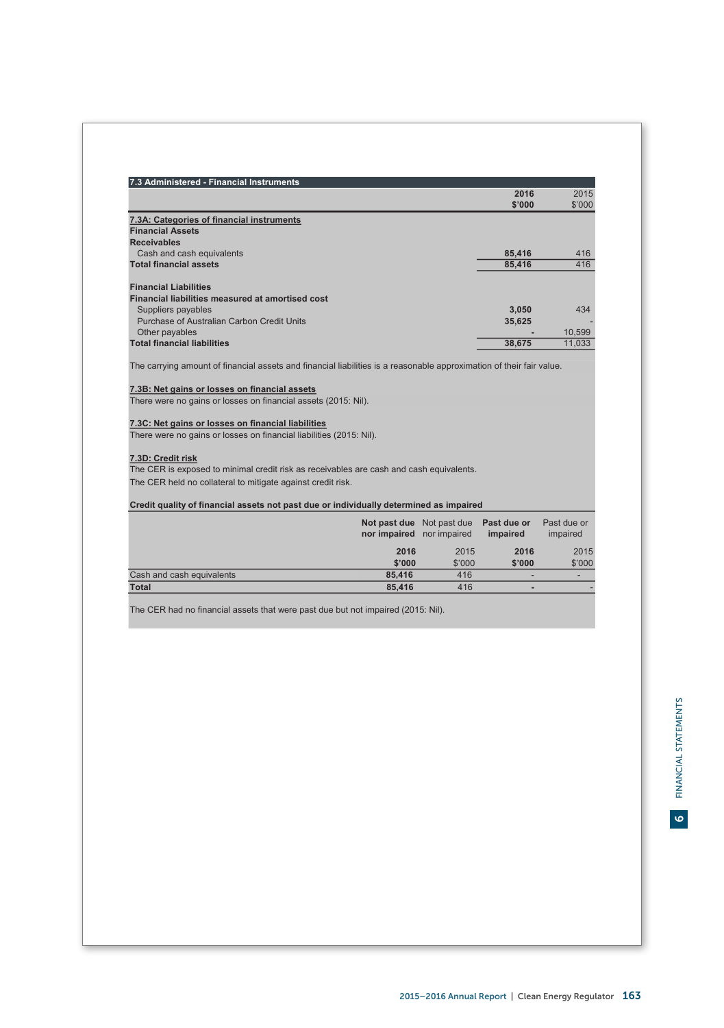|                                                                                                                                                                                                                                         | 2016<br>\$'000 | 2015<br>\$'000 |
|-----------------------------------------------------------------------------------------------------------------------------------------------------------------------------------------------------------------------------------------|----------------|----------------|
| 7.3A: Categories of financial instruments                                                                                                                                                                                               |                |                |
| <b>Financial Assets</b>                                                                                                                                                                                                                 |                |                |
| <b>Receivables</b>                                                                                                                                                                                                                      |                |                |
| Cash and cash equivalents                                                                                                                                                                                                               | 85,416         | 416            |
| <b>Total financial assets</b>                                                                                                                                                                                                           | 85.416         | 416            |
| <b>Financial Liabilities</b>                                                                                                                                                                                                            |                |                |
| Financial liabilities measured at amortised cost                                                                                                                                                                                        |                |                |
| Suppliers payables                                                                                                                                                                                                                      | 3.050          | 434            |
| Purchase of Australian Carbon Credit Units                                                                                                                                                                                              | 35.625         |                |
| Other pavables                                                                                                                                                                                                                          |                | 10.599         |
| <b>Total financial liabilities</b>                                                                                                                                                                                                      | 38.675         | 11.033         |
|                                                                                                                                                                                                                                         |                |                |
| The carrying amount of financial assets and financial liabilities is a reasonable approximation of their fair value.<br>7.3B: Net gains or losses on financial assets<br>There were no gains or losses on financial assets (2015: Nil). |                |                |
| 7.3C: Net gains or losses on financial liabilities<br>There were no gains or losses on financial liabilities (2015: Nil).                                                                                                               |                |                |
| 7.3D: Credit risk                                                                                                                                                                                                                       |                |                |
| The CER is exposed to minimal credit risk as receivables are cash and cash equivalents.                                                                                                                                                 |                |                |

|                           | nor impaired nor impaired | Not past due Not past due Past due or | impaired | Past due or<br>impaired |
|---------------------------|---------------------------|---------------------------------------|----------|-------------------------|
|                           | 2016                      | 2015                                  | 2016     | 2015                    |
|                           | \$'000                    | \$'000                                | \$'000   | \$'000                  |
| Cash and cash equivalents | 85.416                    | 416                                   |          |                         |
| <b>Total</b>              | 85.416                    | 416                                   |          |                         |

The CER had no financial assets that were past due but not impaired (2015: Nil).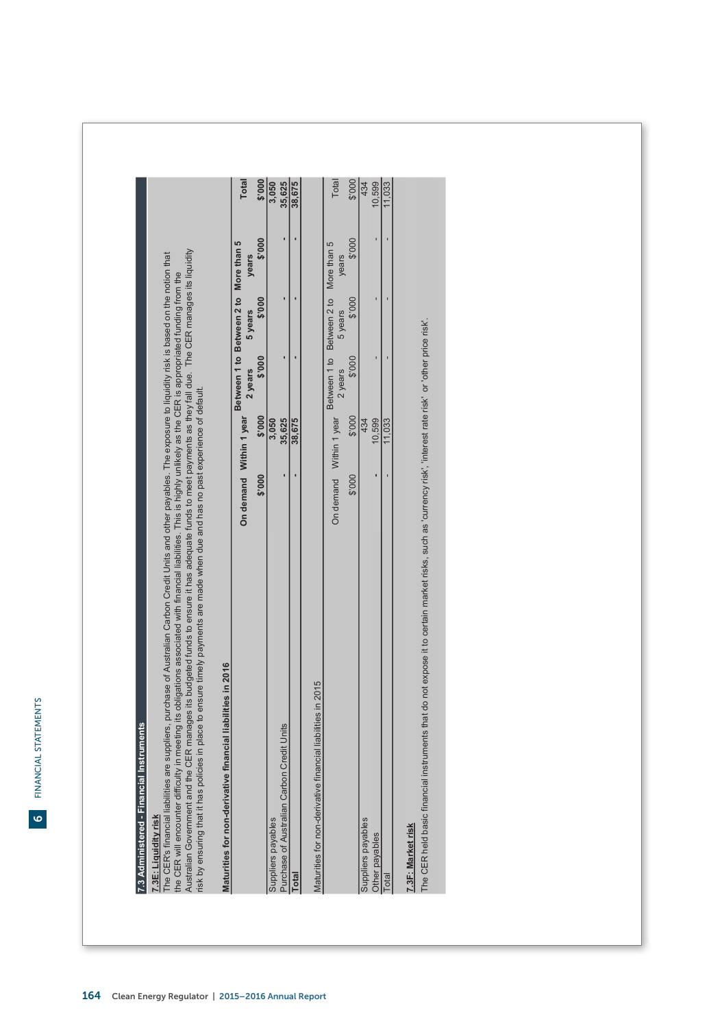FINANCIAL STATEMENTS

6

| Australian Government and the CER manages its budgeted funds to ensure it has adequate funds to meet payments as they fall due. The CER manages its liquidity<br>risk by ensuring that it has policies in place to ensure timely payments are made when due and has no past experience of default.<br>The CER's financial liabiliti<br>the CER will encounter diff<br>7.3E: Liquidity risk | es are suppliers, purchase of Australian Carbon Credit Units and other payables. The exposure to liquidity risk is based on the notion that<br>ñculty in meeting its obligations associated with financial liabilities. This is highly unlikely as the CER is appropriated funding from the |                                                  |         |        |                 |
|--------------------------------------------------------------------------------------------------------------------------------------------------------------------------------------------------------------------------------------------------------------------------------------------------------------------------------------------------------------------------------------------|---------------------------------------------------------------------------------------------------------------------------------------------------------------------------------------------------------------------------------------------------------------------------------------------|--------------------------------------------------|---------|--------|-----------------|
| Maturities for non-derivative financial liabilities in 2016                                                                                                                                                                                                                                                                                                                                |                                                                                                                                                                                                                                                                                             |                                                  |         |        |                 |
|                                                                                                                                                                                                                                                                                                                                                                                            | On demand Within 1 year                                                                                                                                                                                                                                                                     | Between 1 to Between 2 to More than 5<br>2 years | 5 years | years  | <b>Total</b>    |
|                                                                                                                                                                                                                                                                                                                                                                                            | \$'000<br>\$'000                                                                                                                                                                                                                                                                            | \$'000                                           | \$'000  | \$'000 | \$'000          |
| Purchase of Australian Carbon Credit Units<br>Suppliers payables                                                                                                                                                                                                                                                                                                                           | 35,625<br>3,050                                                                                                                                                                                                                                                                             |                                                  |         |        | 35,625<br>3,050 |
| Total                                                                                                                                                                                                                                                                                                                                                                                      | 38,675                                                                                                                                                                                                                                                                                      |                                                  |         |        | 38,675          |
| e financial liabilities in 2015<br>Maturities for non-derivativ                                                                                                                                                                                                                                                                                                                            |                                                                                                                                                                                                                                                                                             |                                                  |         |        |                 |
|                                                                                                                                                                                                                                                                                                                                                                                            | On demand Within 1 year                                                                                                                                                                                                                                                                     | Between 1 to Between 2 to More than 5<br>2 years | 5 years | years  | Total           |
|                                                                                                                                                                                                                                                                                                                                                                                            | 000.\$<br>\$'000                                                                                                                                                                                                                                                                            | \$'000                                           | \$'000  | 000.\$ | \$'000          |
| Suppliers payables<br>Other payables                                                                                                                                                                                                                                                                                                                                                       | 10,599<br>434                                                                                                                                                                                                                                                                               |                                                  |         |        | 10,599<br>434   |
| Total                                                                                                                                                                                                                                                                                                                                                                                      | 11,033                                                                                                                                                                                                                                                                                      |                                                  |         |        | 1,033           |

# 164 Clean Energy Regulator | 2015–2016 Annual Report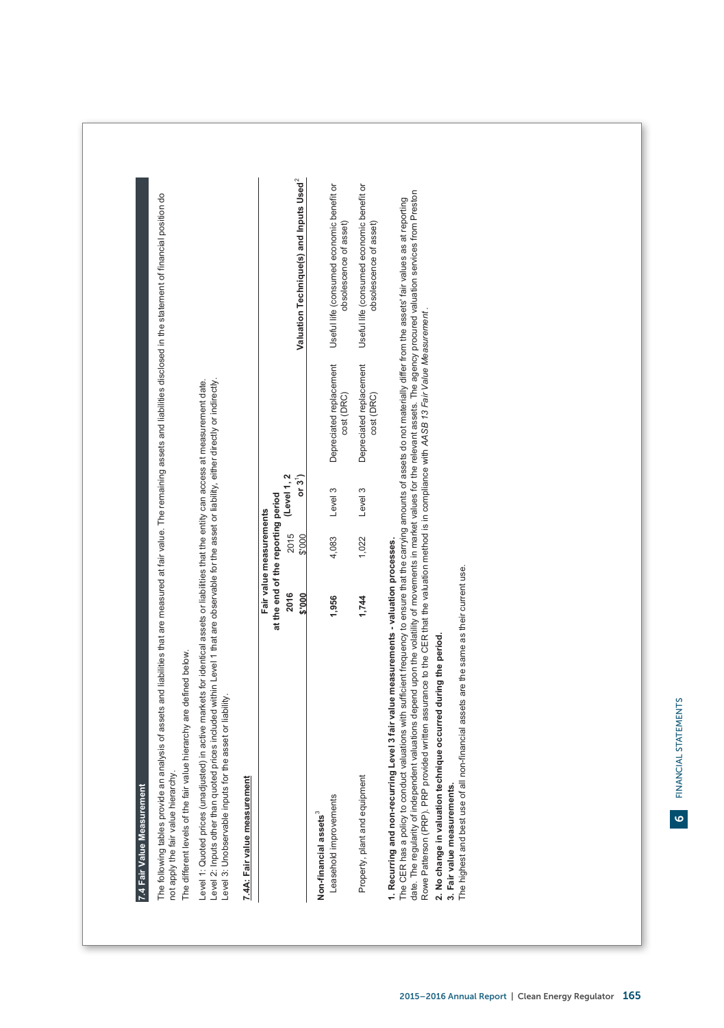| 7.4 Fair Value Measurement                                                                                                                                                                                                                                                                                                                               |                                                               |        |                                   |                                       |                                                                                             |
|----------------------------------------------------------------------------------------------------------------------------------------------------------------------------------------------------------------------------------------------------------------------------------------------------------------------------------------------------------|---------------------------------------------------------------|--------|-----------------------------------|---------------------------------------|---------------------------------------------------------------------------------------------|
| The following tables provide an analysis of assets and liabilities that are measured at fair value. The remaining assets and liabilities disclosed in the statement of financial position do<br>The different levels of the fair value hierarchy are defined below.<br>not apply the fair value hierarchy.                                               |                                                               |        |                                   |                                       |                                                                                             |
| Level 2: Inputs other than quoted prices included within Level 1 that are observable for the asset or liability, either directly or indirectly.<br>Level 1: Quoted prices (unadjusted) in active markets for identical assets or liabilities that the entity can access at measurement date.<br>Level 3: Unobservable inputs for the asset or liability. |                                                               |        |                                   |                                       |                                                                                             |
| 7.4A: Fair value measurement                                                                                                                                                                                                                                                                                                                             |                                                               |        |                                   |                                       |                                                                                             |
|                                                                                                                                                                                                                                                                                                                                                          | at the end of the reporting period<br>Fair value measurements |        |                                   |                                       |                                                                                             |
|                                                                                                                                                                                                                                                                                                                                                          | 2016<br>8.000                                                 | \$'000 | 2015 (Level 1, 2<br>$\frac{1}{5}$ |                                       | Valuation Technique(s) and Inputs Used <sup>2</sup>                                         |
| Non-financial assets <sup>3</sup>                                                                                                                                                                                                                                                                                                                        |                                                               |        |                                   |                                       |                                                                                             |
| Leasehold improvements                                                                                                                                                                                                                                                                                                                                   | 1,956                                                         | 4,083  | Level 3                           | cost (DRC)                            | Depreciated replacement Useful life (consumed economic benefit or<br>obsolescence of asset) |
| Property, plant and equipment                                                                                                                                                                                                                                                                                                                            | 1,744                                                         | 1,022  | Level 3                           | Depreciated replacement<br>cost (DRC) | Useful life (consumed economic benefit or<br>obsolescence of asset)                         |
| 1. Recurring and non-recurring Level 3 fair value measurements - valuation processes.                                                                                                                                                                                                                                                                    |                                                               |        |                                   |                                       |                                                                                             |

The CER has a policy to conduct valuations with sufficient frequency to ensure that the carrying amounts of assets do not materially differ from the assets 'fair values as at reporting<br>date. The regularity of independent v date. The regularity of independent valuations depend upon the volatility of movements in market values for the relevant assets. The agency procured valuation services from Preston The CER has a policy to conduct valuations with sufficient frequency to ensure that the carrying amounts of assets do not materially differ from the assets' fair values as at reporting Rowe Patterson (PRP). PRP provided written assurance to the CER that the valuation method is in compliance with *AASB 13 Fair Value Measurement* .

# 2. No change in valuation technique occurred during the period. **2. No change in valuation technique occurred during the period.**

**3. Fair value measurements.**

3. Fair value measurements.<br>The highest and best use of all non-financial assets are the same as their current use. The highest and best use of all non-financial assets are the same as their current use.